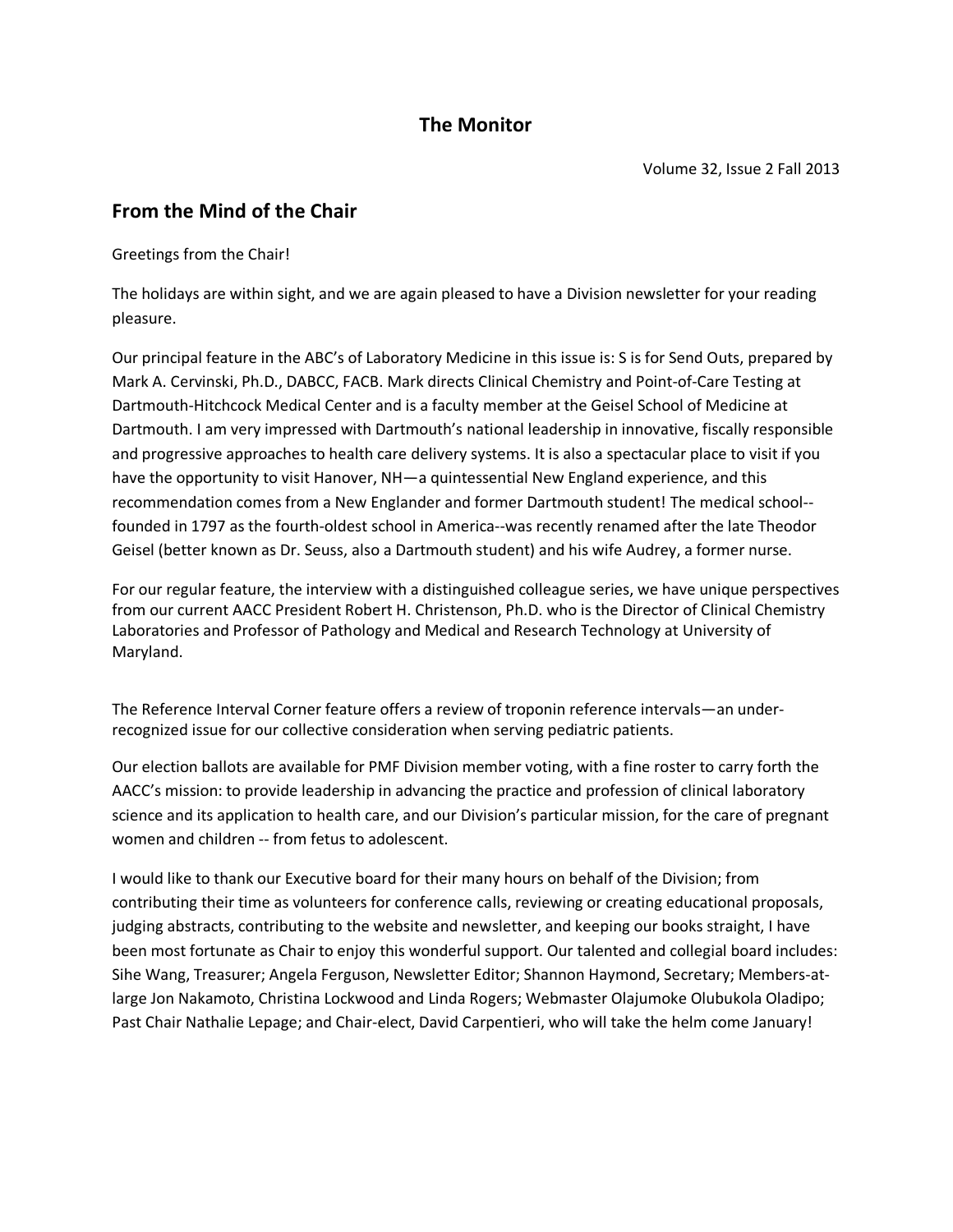## **The Monitor**

## **From the Mind of the Chair**

Greetings from the Chair!

The holidays are within sight, and we are again pleased to have a Division newsletter for your reading pleasure.

Our principal feature in the ABC's of Laboratory Medicine in this issue is: S is for Send Outs, prepared by Mark A. Cervinski, Ph.D., DABCC, FACB. Mark directs Clinical Chemistry and Point-of-Care Testing at Dartmouth-Hitchcock Medical Center and is a faculty member at the Geisel School of Medicine at Dartmouth. I am very impressed with Dartmouth's national leadership in innovative, fiscally responsible and progressive approaches to health care delivery systems. It is also a spectacular place to visit if you have the opportunity to visit Hanover, NH-a quintessential New England experience, and this recommendation comes from a New Englander and former Dartmouth student! The medical school- founded in 1797 as the fourth-oldest school in America--was recently renamed after the late Theodor Geisel (better known as Dr. Seuss, also a Dartmouth student) and his wife Audrey, a former nurse.

For our regular feature, the interview with a distinguished colleague series, we have unique perspectives from our current AACC President Robert H. Christenson, Ph.D. who is the Director of Clinical Chemistry Laboratories and Professor of Pathology and Medical and Research Technology at University of Maryland.

The Reference Interval Corner feature offers a review of troponin reference intervals—an underrecognized issue for our collective consideration when serving pediatric patients.

Our election ballots are available for PMF Division member voting, with a fine roster to carry forth the AACC's mission: to provide leadership in advancing the practice and profession of clinical laboratory science and its application to health care, and our Division's particular mission, for the care of pregnant women and children -- from fetus to adolescent.

I would like to thank our Executive board for their many hours on behalf of the Division; from contributing their time as volunteers for conference calls, reviewing or creating educational proposals, judging abstracts, contributing to the website and newsletter, and keeping our books straight, I have been most fortunate as Chair to enjoy this wonderful support. Our talented and collegial board includes: Sihe Wang, Treasurer; Angela Ferguson, Newsletter Editor; Shannon Haymond, Secretary; Members-atlarge Jon Nakamoto, Christina Lockwood and Linda Rogers; Webmaster Olajumoke Olubukola Oladipo; Past Chair Nathalie Lepage; and Chair-elect, David Carpentieri, who will take the helm come January!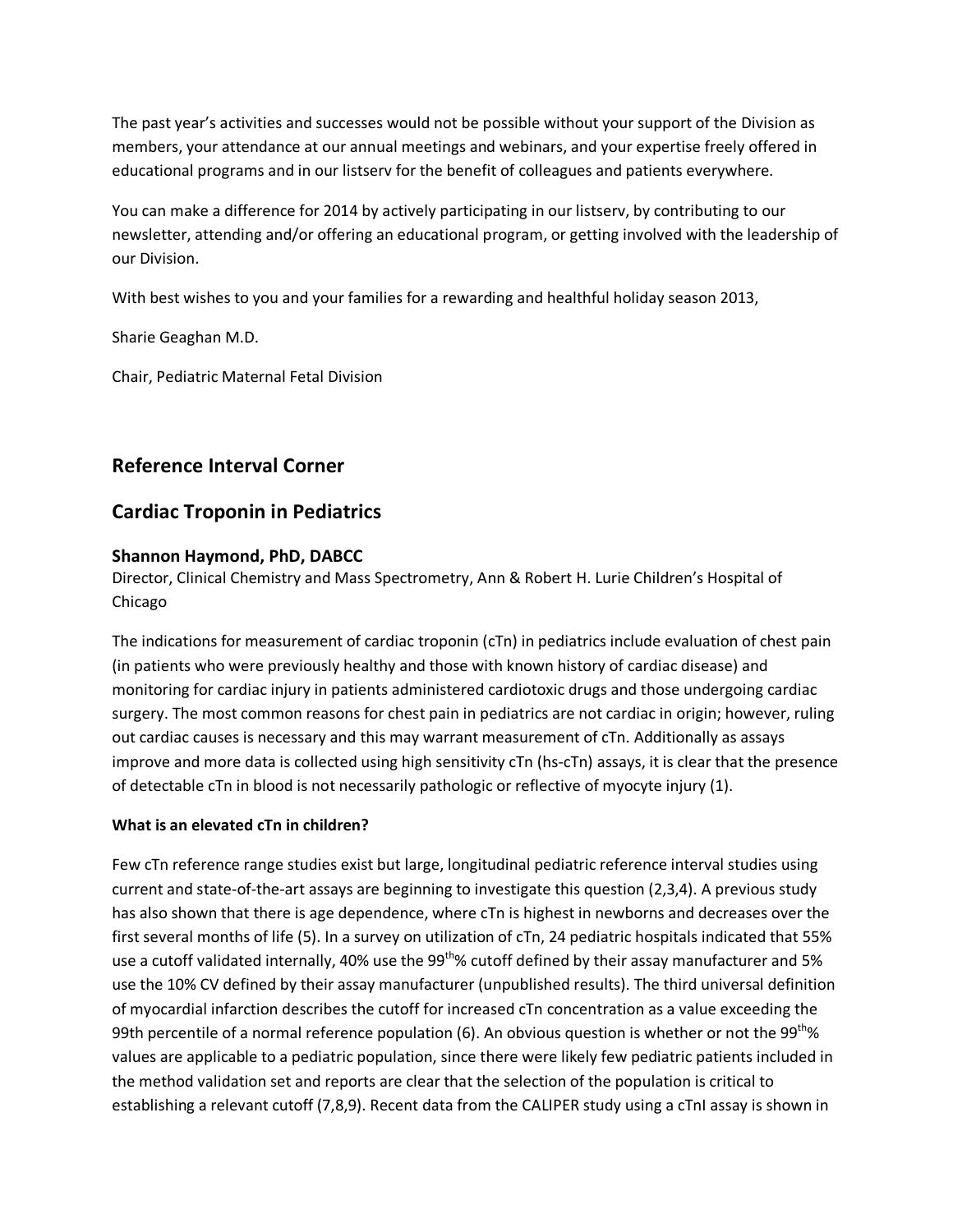The past year's activities and successes would not be possible without your support of the Division as members, your attendance at our annual meetings and webinars, and your expertise freely offered in educational programs and in our listserv for the benefit of colleagues and patients everywhere.

You can make a difference for 2014 by actively participating in our listserv, by contributing to our newsletter, attending and/or offering an educational program, or getting involved with the leadership of our Division.

With best wishes to you and your families for a rewarding and healthful holiday season 2013,

Sharie Geaghan M.D.

Chair, Pediatric Maternal Fetal Division

## **Reference Interval Corner**

## **Cardiac Troponin in Pediatrics**

## **Shannon Haymond, PhD, DABCC**

Director, Clinical Chemistry and Mass Spectrometry, Ann & Robert H. Lurie Children's Hospital of Chicago

The indications for measurement of cardiac troponin (cTn) in pediatrics include evaluation of chest pain (in patients who were previously healthy and those with known history of cardiac disease) and monitoring for cardiac injury in patients administered cardiotoxic drugs and those undergoing cardiac surgery. The most common reasons for chest pain in pediatrics are not cardiac in origin; however, ruling out cardiac causes is necessary and this may warrant measurement of cTn. Additionally as assays improve and more data is collected using high sensitivity cTn (hs-cTn) assays, it is clear that the presence of detectable cTn in blood is not necessarily pathologic or reflective of myocyte injury (1).

### **What is an elevated cTn in children?**

Few cTn reference range studies exist but large, longitudinal pediatric reference interval studies using current and state-of-the-art assays are beginning to investigate this question (2,3,4). A previous study has also shown that there is age dependence, where cTn is highest in newborns and decreases over the first several months of life (5). In a survey on utilization of cTn, 24 pediatric hospitals indicated that 55% use a cutoff validated internally, 40% use the  $99^{th}$ % cutoff defined by their assay manufacturer and 5% use the 10% CV defined by their assay manufacturer (unpublished results). The third universal definition of myocardial infarction describes the cutoff for increased cTn concentration as a value exceeding the 99th percentile of a normal reference population (6). An obvious question is whether or not the 99<sup>th</sup>% values are applicable to a pediatric population, since there were likely few pediatric patients included in the method validation set and reports are clear that the selection of the population is critical to establishing a relevant cutoff (7,8,9). Recent data from the CALIPER study using a cTnI assay is shown in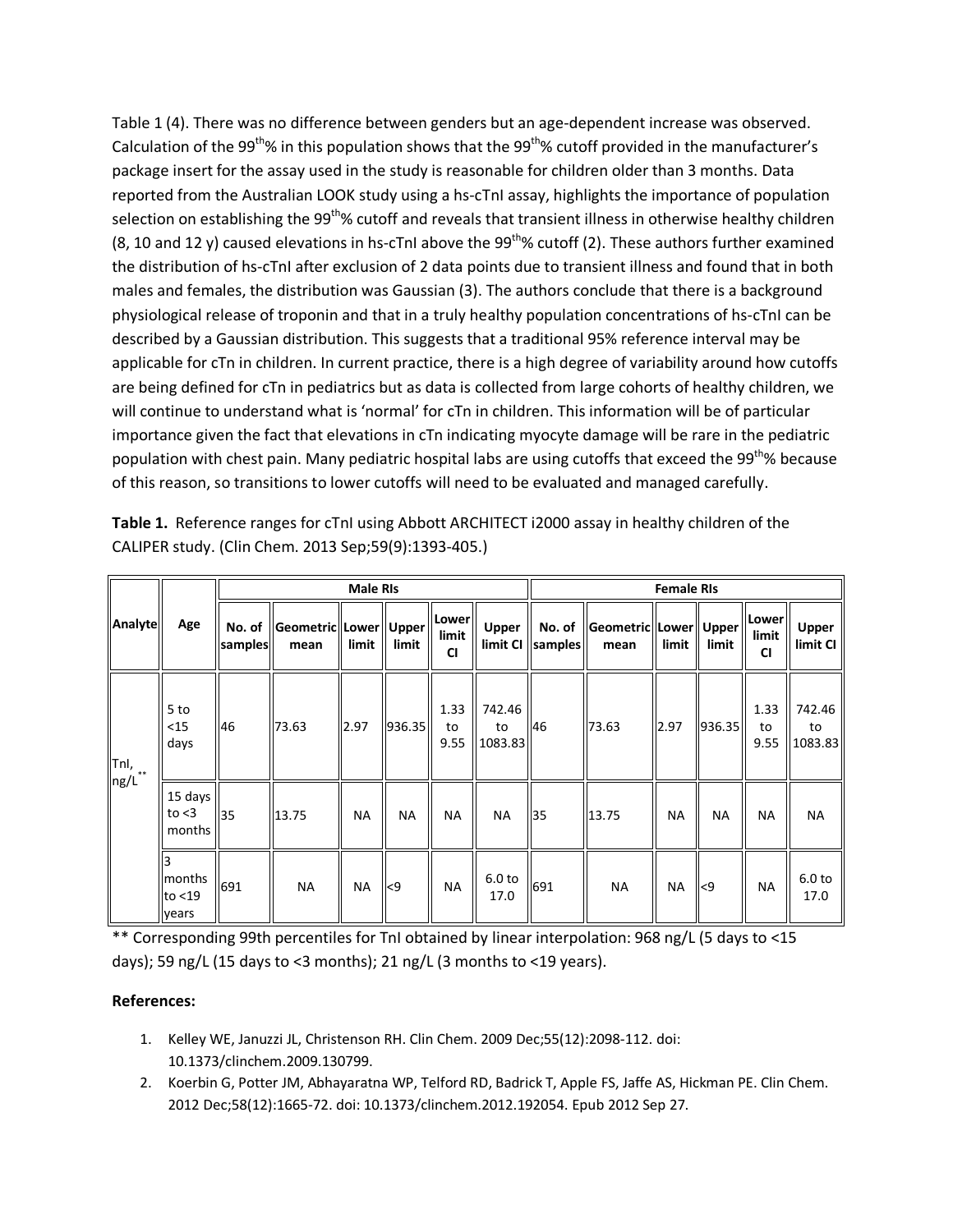Table 1 (4). There was no difference between genders but an age-dependent increase was observed. Calculation of the 99<sup>th</sup>% in this population shows that the 99<sup>th</sup>% cutoff provided in the manufacturer's package insert for the assay used in the study is reasonable for children older than 3 months. Data reported from the Australian LOOK study using a hs-cTnI assay, highlights the importance of population selection on establishing the 99<sup>th</sup>% cutoff and reveals that transient illness in otherwise healthy children (8, 10 and 12 y) caused elevations in hs-cTnI above the  $99^{th}$ % cutoff (2). These authors further examined the distribution of hs-cTnI after exclusion of 2 data points due to transient illness and found that in both males and females, the distribution was Gaussian (3). The authors conclude that there is a background physiological release of troponin and that in a truly healthy population concentrations of hs-cTnI can be described by a Gaussian distribution. This suggests that a traditional 95% reference interval may be applicable for cTn in children. In current practice, there is a high degree of variability around how cutoffs are being defined for cTn in pediatrics but as data is collected from large cohorts of healthy children, we will continue to understand what is 'normal' for cTn in children. This information will be of particular importance given the fact that elevations in cTn indicating myocyte damage will be rare in the pediatric population with chest pain. Many pediatric hospital labs are using cutoffs that exceed the 99<sup>th</sup>% because of this reason, so transitions to lower cutoffs will need to be evaluated and managed carefully.

|                          | Age                           |                   |                                  |           | <b>Female RIs</b> |                             |                           |                   |                                  |           |                 |                             |                           |
|--------------------------|-------------------------------|-------------------|----------------------------------|-----------|-------------------|-----------------------------|---------------------------|-------------------|----------------------------------|-----------|-----------------|-----------------------------|---------------------------|
| Analyte                  |                               | No. of<br>samples | Geometric  Lower   Upper<br>mean | limit     | limit             | Lower<br>limit<br><b>CI</b> | <b>Upper</b><br>limit CI  | No. of<br>samples | Geometric  Lower   Upper<br>mean | limit     | limit           | Lower<br>limit<br><b>CI</b> | <b>Upper</b><br>limit CI  |
| $\mathsf{Tril},$<br>ng/L | 5 to<br>$15$<br>days          | 46                | 73.63                            | 2.97      | 936.35            | 1.33<br>to<br>9.55          | 742.46<br>to<br>1083.83   | 146               | 73.63                            | 2.97      | 936.35          | 1.33<br>to<br>9.55          | 742.46<br>to<br>1083.83   |
|                          | 15 days<br>to $<$ 3<br>months | 35                | 13.75                            | <b>NA</b> | <b>NA</b>         | <b>NA</b>                   | <b>NA</b>                 | 35                | 13.75                            | <b>NA</b> | NA              | <b>NA</b>                   | <b>NA</b>                 |
|                          | months<br>to $<$ 19<br>years  | 691               | <b>NA</b>                        | <b>NA</b> | < 9               | NА                          | 6.0 <sub>to</sub><br>17.0 | 691               | <b>NA</b>                        | <b>NA</b> | $\mathsf{I}$ <9 | NА                          | 6.0 <sub>to</sub><br>17.0 |

**Table 1.** Reference ranges for cTnI using Abbott ARCHITECT i2000 assay in healthy children of the CALIPER study. (Clin Chem. 2013 Sep;59(9):1393-405.)

\*\* Corresponding 99th percentiles for TnI obtained by linear interpolation: 968 ng/L (5 days to <15 days); 59 ng/L (15 days to <3 months); 21 ng/L (3 months to <19 years).

## **References:**

- 1. Kelley WE, Januzzi JL, Christenson RH. Clin Chem. 2009 Dec;55(12):2098-112. doi: 10.1373/clinchem.2009.130799.
- 2. Koerbin G, Potter JM, Abhayaratna WP, Telford RD, Badrick T, Apple FS, Jaffe AS, Hickman PE. Clin Chem. 2012 Dec;58(12):1665-72. doi: 10.1373/clinchem.2012.192054. Epub 2012 Sep 27.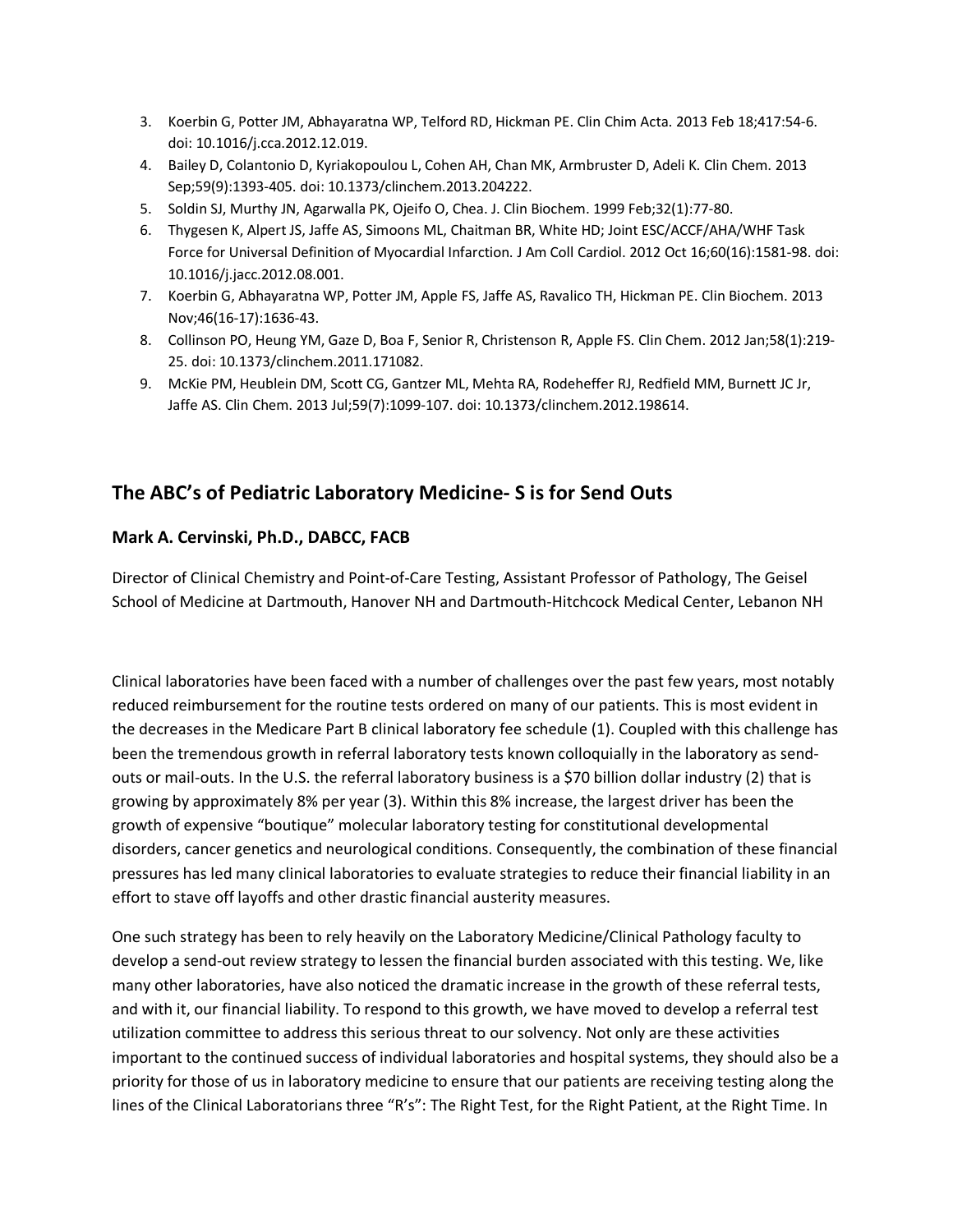- 3. Koerbin G, Potter JM, Abhayaratna WP, Telford RD, Hickman PE. Clin Chim Acta. 2013 Feb 18;417:54-6. doi: 10.1016/j.cca.2012.12.019.
- 4. Bailey D, Colantonio D, Kyriakopoulou L, Cohen AH, Chan MK, Armbruster D, Adeli K. Clin Chem. 2013 Sep;59(9):1393-405. doi: 10.1373/clinchem.2013.204222.
- 5. Soldin SJ, Murthy JN, Agarwalla PK, Ojeifo O, Chea. J. Clin Biochem. 1999 Feb;32(1):77-80.
- 6. Thygesen K, Alpert JS, Jaffe AS, Simoons ML, Chaitman BR, White HD; Joint ESC/ACCF/AHA/WHF Task Force for Universal Definition of Myocardial Infarction. J Am Coll Cardiol. 2012 Oct 16;60(16):1581-98. doi: 10.1016/j.jacc.2012.08.001.
- 7. Koerbin G, Abhayaratna WP, Potter JM, Apple FS, Jaffe AS, Ravalico TH, Hickman PE. Clin Biochem. 2013 Nov;46(16-17):1636-43.
- 8. Collinson PO, Heung YM, Gaze D, Boa F, Senior R, Christenson R, Apple FS. Clin Chem. 2012 Jan;58(1):219- 25. doi: 10.1373/clinchem.2011.171082.
- 9. McKie PM, Heublein DM, Scott CG, Gantzer ML, Mehta RA, Rodeheffer RJ, Redfield MM, Burnett JC Jr, Jaffe AS. Clin Chem. 2013 Jul;59(7):1099-107. doi: 10.1373/clinchem.2012.198614.

## **The ABC's of Pediatric Laboratory Medicine- S is for Send Outs**

## **Mark A. Cervinski, Ph.D., DABCC, FACB**

Director of Clinical Chemistry and Point-of-Care Testing, Assistant Professor of Pathology, The Geisel School of Medicine at Dartmouth, Hanover NH and Dartmouth-Hitchcock Medical Center, Lebanon NH

Clinical laboratories have been faced with a number of challenges over the past few years, most notably reduced reimbursement for the routine tests ordered on many of our patients. This is most evident in the decreases in the Medicare Part B clinical laboratory fee schedule (1). Coupled with this challenge has been the tremendous growth in referral laboratory tests known colloquially in the laboratory as sendouts or mail-outs. In the U.S. the referral laboratory business is a \$70 billion dollar industry (2) that is growing by approximately 8% per year (3). Within this 8% increase, the largest driver has been the growth of expensive "boutique" molecular laboratory testing for constitutional developmental disorders, cancer genetics and neurological conditions. Consequently, the combination of these financial pressures has led many clinical laboratories to evaluate strategies to reduce their financial liability in an effort to stave off layoffs and other drastic financial austerity measures.

One such strategy has been to rely heavily on the Laboratory Medicine/Clinical Pathology faculty to develop a send-out review strategy to lessen the financial burden associated with this testing. We, like many other laboratories, have also noticed the dramatic increase in the growth of these referral tests, and with it, our financial liability. To respond to this growth, we have moved to develop a referral test utilization committee to address this serious threat to our solvency. Not only are these activities important to the continued success of individual laboratories and hospital systems, they should also be a priority for those of us in laboratory medicine to ensure that our patients are receiving testing along the lines of the Clinical Laboratorians three "R's": The Right Test, for the Right Patient, at the Right Time. In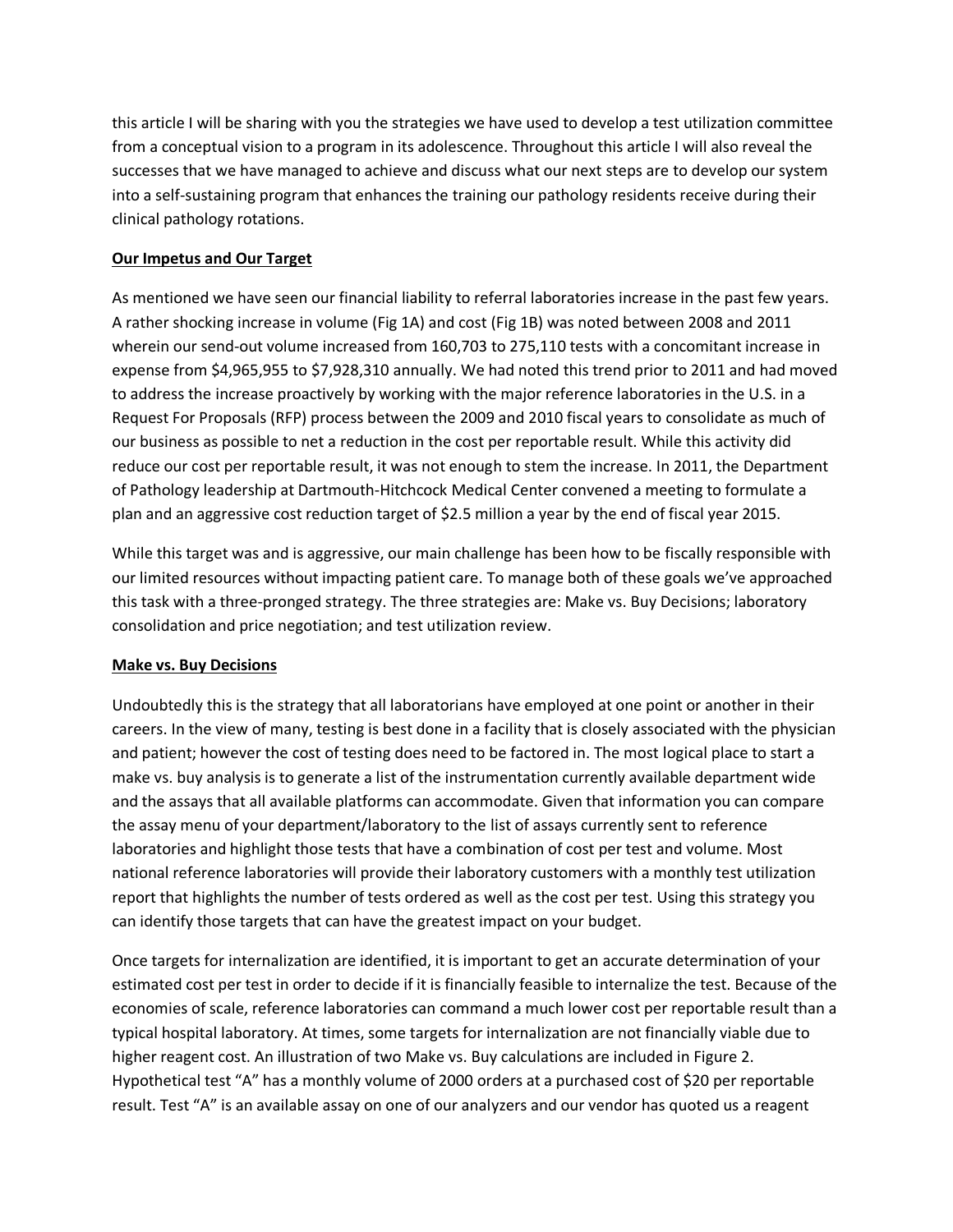this article I will be sharing with you the strategies we have used to develop a test utilization committee from a conceptual vision to a program in its adolescence. Throughout this article I will also reveal the successes that we have managed to achieve and discuss what our next steps are to develop our system into a self-sustaining program that enhances the training our pathology residents receive during their clinical pathology rotations.

## **Our Impetus and Our Target**

As mentioned we have seen our financial liability to referral laboratories increase in the past few years. A rather shocking increase in volume (Fig 1A) and cost (Fig 1B) was noted between 2008 and 2011 wherein our send-out volume increased from 160,703 to 275,110 tests with a concomitant increase in expense from \$4,965,955 to \$7,928,310 annually. We had noted this trend prior to 2011 and had moved to address the increase proactively by working with the major reference laboratories in the U.S. in a Request For Proposals (RFP) process between the 2009 and 2010 fiscal years to consolidate as much of our business as possible to net a reduction in the cost per reportable result. While this activity did reduce our cost per reportable result, it was not enough to stem the increase. In 2011, the Department of Pathology leadership at Dartmouth-Hitchcock Medical Center convened a meeting to formulate a plan and an aggressive cost reduction target of \$2.5 million a year by the end of fiscal year 2015.

While this target was and is aggressive, our main challenge has been how to be fiscally responsible with our limited resources without impacting patient care. To manage both of these goals we've approached this task with a three-pronged strategy. The three strategies are: Make vs. Buy Decisions; laboratory consolidation and price negotiation; and test utilization review.

### **Make vs. Buy Decisions**

Undoubtedly this is the strategy that all laboratorians have employed at one point or another in their careers. In the view of many, testing is best done in a facility that is closely associated with the physician and patient; however the cost of testing does need to be factored in. The most logical place to start a make vs. buy analysis is to generate a list of the instrumentation currently available department wide and the assays that all available platforms can accommodate. Given that information you can compare the assay menu of your department/laboratory to the list of assays currently sent to reference laboratories and highlight those tests that have a combination of cost per test and volume. Most national reference laboratories will provide their laboratory customers with a monthly test utilization report that highlights the number of tests ordered as well as the cost per test. Using this strategy you can identify those targets that can have the greatest impact on your budget.

Once targets for internalization are identified, it is important to get an accurate determination of your estimated cost per test in order to decide if it is financially feasible to internalize the test. Because of the economies of scale, reference laboratories can command a much lower cost per reportable result than a typical hospital laboratory. At times, some targets for internalization are not financially viable due to higher reagent cost. An illustration of two Make vs. Buy calculations are included in Figure 2. Hypothetical test "A" has a monthly volume of 2000 orders at a purchased cost of \$20 per reportable result. Test "A" is an available assay on one of our analyzers and our vendor has quoted us a reagent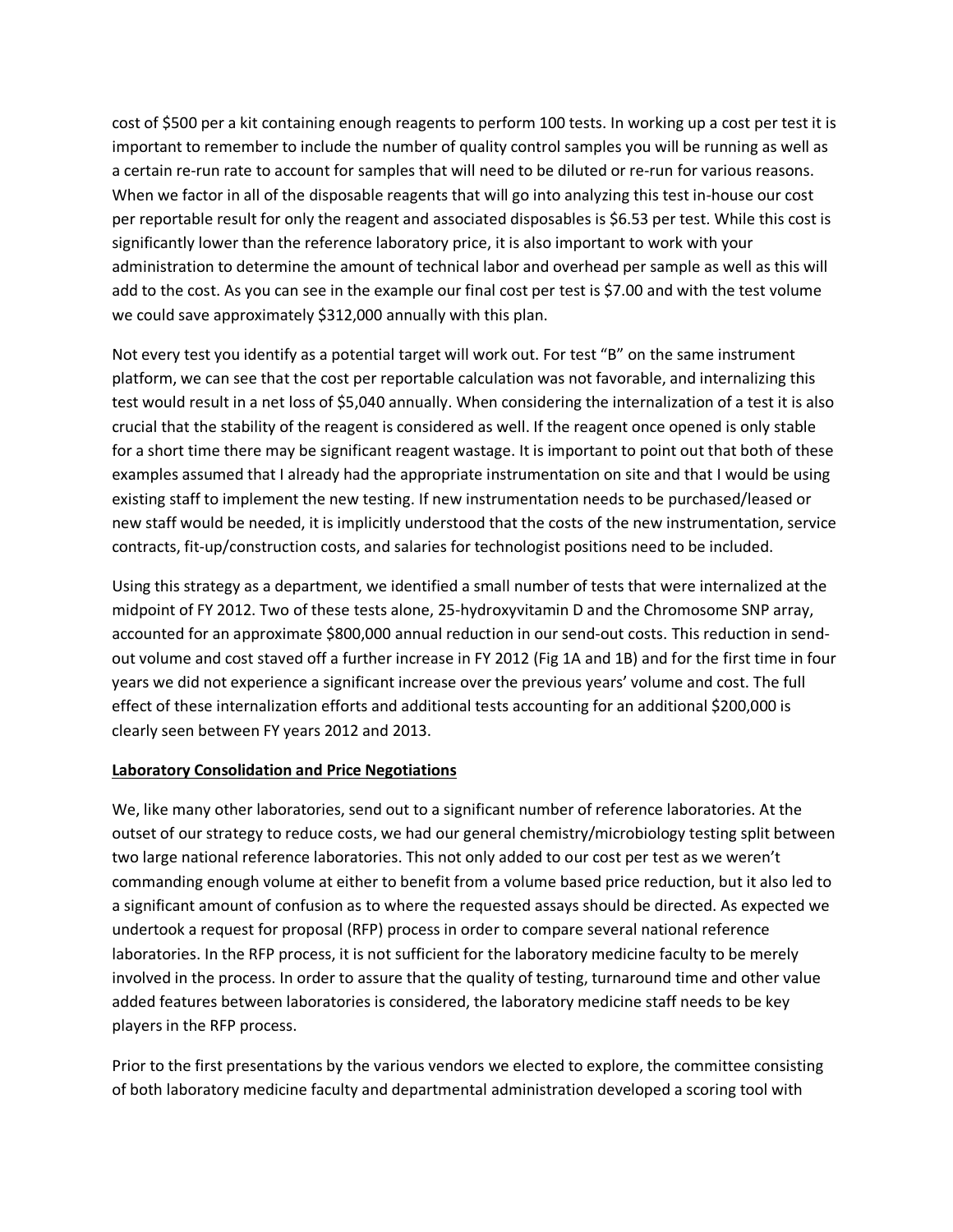cost of \$500 per a kit containing enough reagents to perform 100 tests. In working up a cost per test it is important to remember to include the number of quality control samples you will be running as well as a certain re-run rate to account for samples that will need to be diluted or re-run for various reasons. When we factor in all of the disposable reagents that will go into analyzing this test in-house our cost per reportable result for only the reagent and associated disposables is \$6.53 per test. While this cost is significantly lower than the reference laboratory price, it is also important to work with your administration to determine the amount of technical labor and overhead per sample as well as this will add to the cost. As you can see in the example our final cost per test is \$7.00 and with the test volume we could save approximately \$312,000 annually with this plan.

Not every test you identify as a potential target will work out. For test "B" on the same instrument platform, we can see that the cost per reportable calculation was not favorable, and internalizing this test would result in a net loss of \$5,040 annually. When considering the internalization of a test it is also crucial that the stability of the reagent is considered as well. If the reagent once opened is only stable for a short time there may be significant reagent wastage. It is important to point out that both of these examples assumed that I already had the appropriate instrumentation on site and that I would be using existing staff to implement the new testing. If new instrumentation needs to be purchased/leased or new staff would be needed, it is implicitly understood that the costs of the new instrumentation, service contracts, fit-up/construction costs, and salaries for technologist positions need to be included.

Using this strategy as a department, we identified a small number of tests that were internalized at the midpoint of FY 2012. Two of these tests alone, 25-hydroxyvitamin D and the Chromosome SNP array, accounted for an approximate \$800,000 annual reduction in our send-out costs. This reduction in sendout volume and cost staved off a further increase in FY 2012 (Fig 1A and 1B) and for the first time in four years we did not experience a significant increase over the previous years' volume and cost. The full effect of these internalization efforts and additional tests accounting for an additional \$200,000 is clearly seen between FY years 2012 and 2013.

### **Laboratory Consolidation and Price Negotiations**

We, like many other laboratories, send out to a significant number of reference laboratories. At the outset of our strategy to reduce costs, we had our general chemistry/microbiology testing split between two large national reference laboratories. This not only added to our cost per test as we weren't commanding enough volume at either to benefit from a volume based price reduction, but it also led to a significant amount of confusion as to where the requested assays should be directed. As expected we undertook a request for proposal (RFP) process in order to compare several national reference laboratories. In the RFP process, it is not sufficient for the laboratory medicine faculty to be merely involved in the process. In order to assure that the quality of testing, turnaround time and other value added features between laboratories is considered, the laboratory medicine staff needs to be key players in the RFP process.

Prior to the first presentations by the various vendors we elected to explore, the committee consisting of both laboratory medicine faculty and departmental administration developed a scoring tool with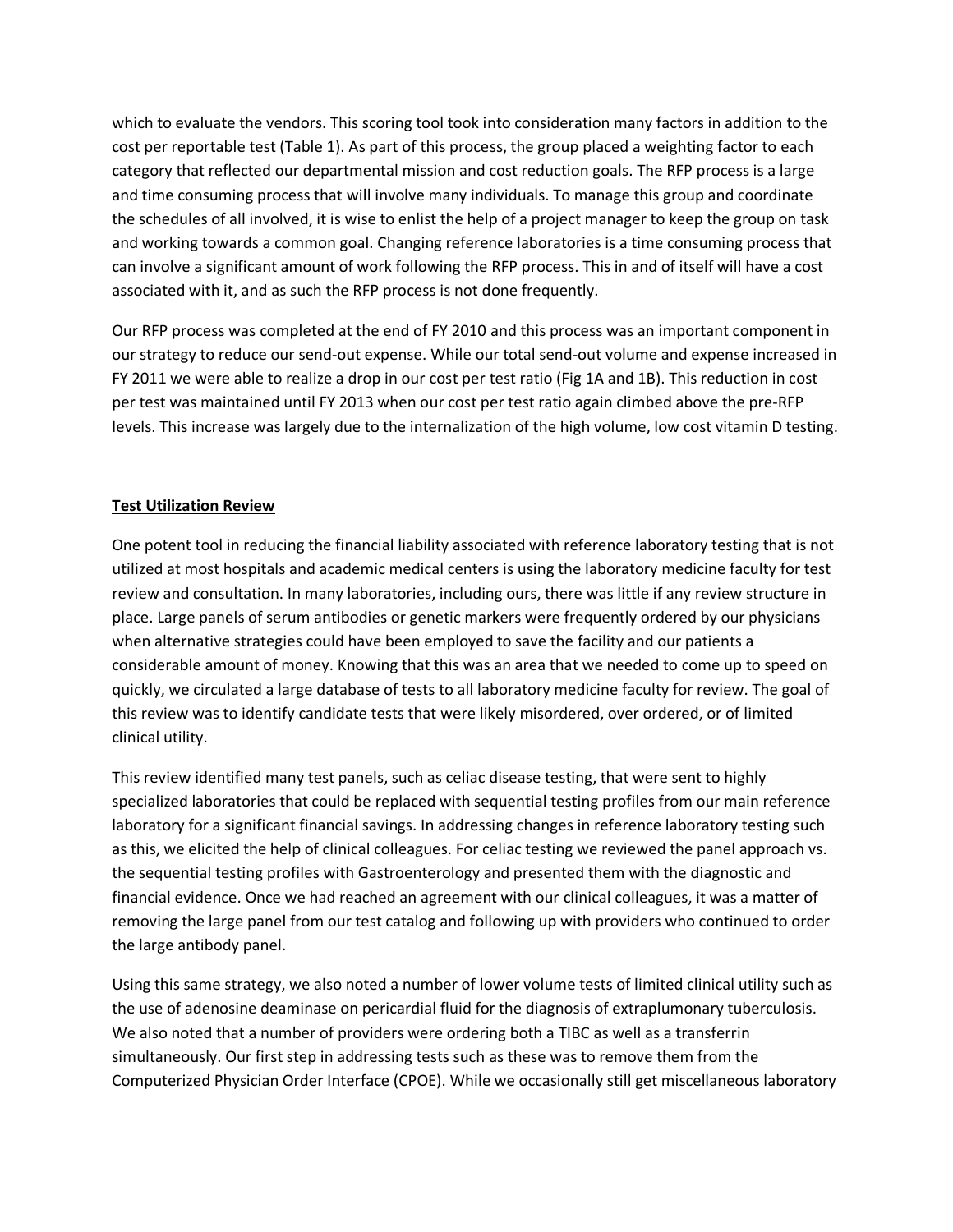which to evaluate the vendors. This scoring tool took into consideration many factors in addition to the cost per reportable test (Table 1). As part of this process, the group placed a weighting factor to each category that reflected our departmental mission and cost reduction goals. The RFP process is a large and time consuming process that will involve many individuals. To manage this group and coordinate the schedules of all involved, it is wise to enlist the help of a project manager to keep the group on task and working towards a common goal. Changing reference laboratories is a time consuming process that can involve a significant amount of work following the RFP process. This in and of itself will have a cost associated with it, and as such the RFP process is not done frequently.

Our RFP process was completed at the end of FY 2010 and this process was an important component in our strategy to reduce our send-out expense. While our total send-out volume and expense increased in FY 2011 we were able to realize a drop in our cost per test ratio (Fig 1A and 1B). This reduction in cost per test was maintained until FY 2013 when our cost per test ratio again climbed above the pre-RFP levels. This increase was largely due to the internalization of the high volume, low cost vitamin D testing.

### **Test Utilization Review**

One potent tool in reducing the financial liability associated with reference laboratory testing that is not utilized at most hospitals and academic medical centers is using the laboratory medicine faculty for test review and consultation. In many laboratories, including ours, there was little if any review structure in place. Large panels of serum antibodies or genetic markers were frequently ordered by our physicians when alternative strategies could have been employed to save the facility and our patients a considerable amount of money. Knowing that this was an area that we needed to come up to speed on quickly, we circulated a large database of tests to all laboratory medicine faculty for review. The goal of this review was to identify candidate tests that were likely misordered, over ordered, or of limited clinical utility.

This review identified many test panels, such as celiac disease testing, that were sent to highly specialized laboratories that could be replaced with sequential testing profiles from our main reference laboratory for a significant financial savings. In addressing changes in reference laboratory testing such as this, we elicited the help of clinical colleagues. For celiac testing we reviewed the panel approach vs. the sequential testing profiles with Gastroenterology and presented them with the diagnostic and financial evidence. Once we had reached an agreement with our clinical colleagues, it was a matter of removing the large panel from our test catalog and following up with providers who continued to order the large antibody panel.

Using this same strategy, we also noted a number of lower volume tests of limited clinical utility such as the use of adenosine deaminase on pericardial fluid for the diagnosis of extraplumonary tuberculosis. We also noted that a number of providers were ordering both a TIBC as well as a transferrin simultaneously. Our first step in addressing tests such as these was to remove them from the Computerized Physician Order Interface (CPOE). While we occasionally still get miscellaneous laboratory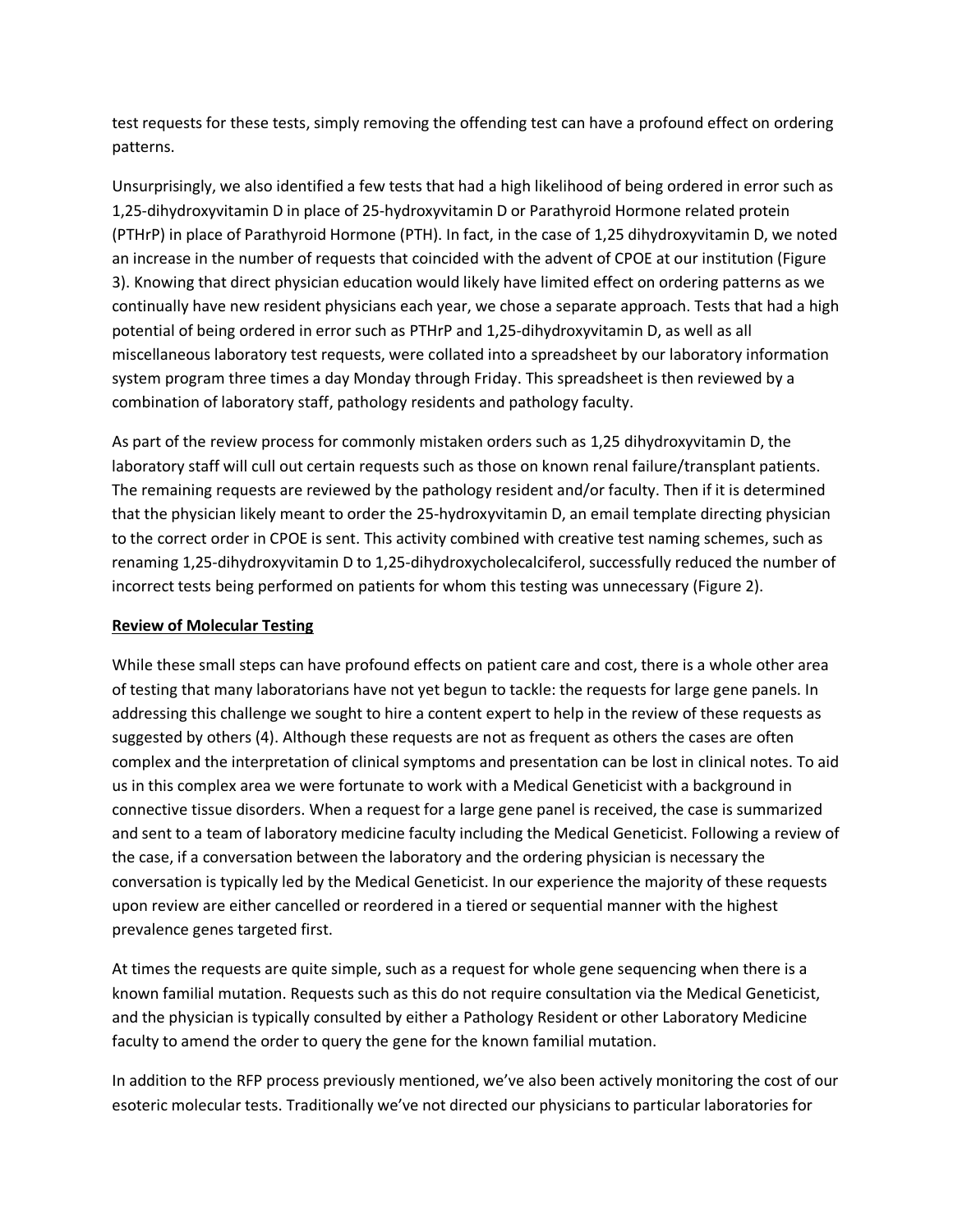test requests for these tests, simply removing the offending test can have a profound effect on ordering patterns.

Unsurprisingly, we also identified a few tests that had a high likelihood of being ordered in error such as 1,25-dihydroxyvitamin D in place of 25-hydroxyvitamin D or Parathyroid Hormone related protein (PTHrP) in place of Parathyroid Hormone (PTH). In fact, in the case of 1,25 dihydroxyvitamin D, we noted an increase in the number of requests that coincided with the advent of CPOE at our institution (Figure 3). Knowing that direct physician education would likely have limited effect on ordering patterns as we continually have new resident physicians each year, we chose a separate approach. Tests that had a high potential of being ordered in error such as PTHrP and 1,25-dihydroxyvitamin D, as well as all miscellaneous laboratory test requests, were collated into a spreadsheet by our laboratory information system program three times a day Monday through Friday. This spreadsheet is then reviewed by a combination of laboratory staff, pathology residents and pathology faculty.

As part of the review process for commonly mistaken orders such as 1,25 dihydroxyvitamin D, the laboratory staff will cull out certain requests such as those on known renal failure/transplant patients. The remaining requests are reviewed by the pathology resident and/or faculty. Then if it is determined that the physician likely meant to order the 25-hydroxyvitamin D, an email template directing physician to the correct order in CPOE is sent. This activity combined with creative test naming schemes, such as renaming 1,25-dihydroxyvitamin D to 1,25-dihydroxycholecalciferol, successfully reduced the number of incorrect tests being performed on patients for whom this testing was unnecessary (Figure 2).

## **Review of Molecular Testing**

While these small steps can have profound effects on patient care and cost, there is a whole other area of testing that many laboratorians have not yet begun to tackle: the requests for large gene panels. In addressing this challenge we sought to hire a content expert to help in the review of these requests as suggested by others (4). Although these requests are not as frequent as others the cases are often complex and the interpretation of clinical symptoms and presentation can be lost in clinical notes. To aid us in this complex area we were fortunate to work with a Medical Geneticist with a background in connective tissue disorders. When a request for a large gene panel is received, the case is summarized and sent to a team of laboratory medicine faculty including the Medical Geneticist. Following a review of the case, if a conversation between the laboratory and the ordering physician is necessary the conversation is typically led by the Medical Geneticist. In our experience the majority of these requests upon review are either cancelled or reordered in a tiered or sequential manner with the highest prevalence genes targeted first.

At times the requests are quite simple, such as a request for whole gene sequencing when there is a known familial mutation. Requests such as this do not require consultation via the Medical Geneticist, and the physician is typically consulted by either a Pathology Resident or other Laboratory Medicine faculty to amend the order to query the gene for the known familial mutation.

In addition to the RFP process previously mentioned, we've also been actively monitoring the cost of our esoteric molecular tests. Traditionally we've not directed our physicians to particular laboratories for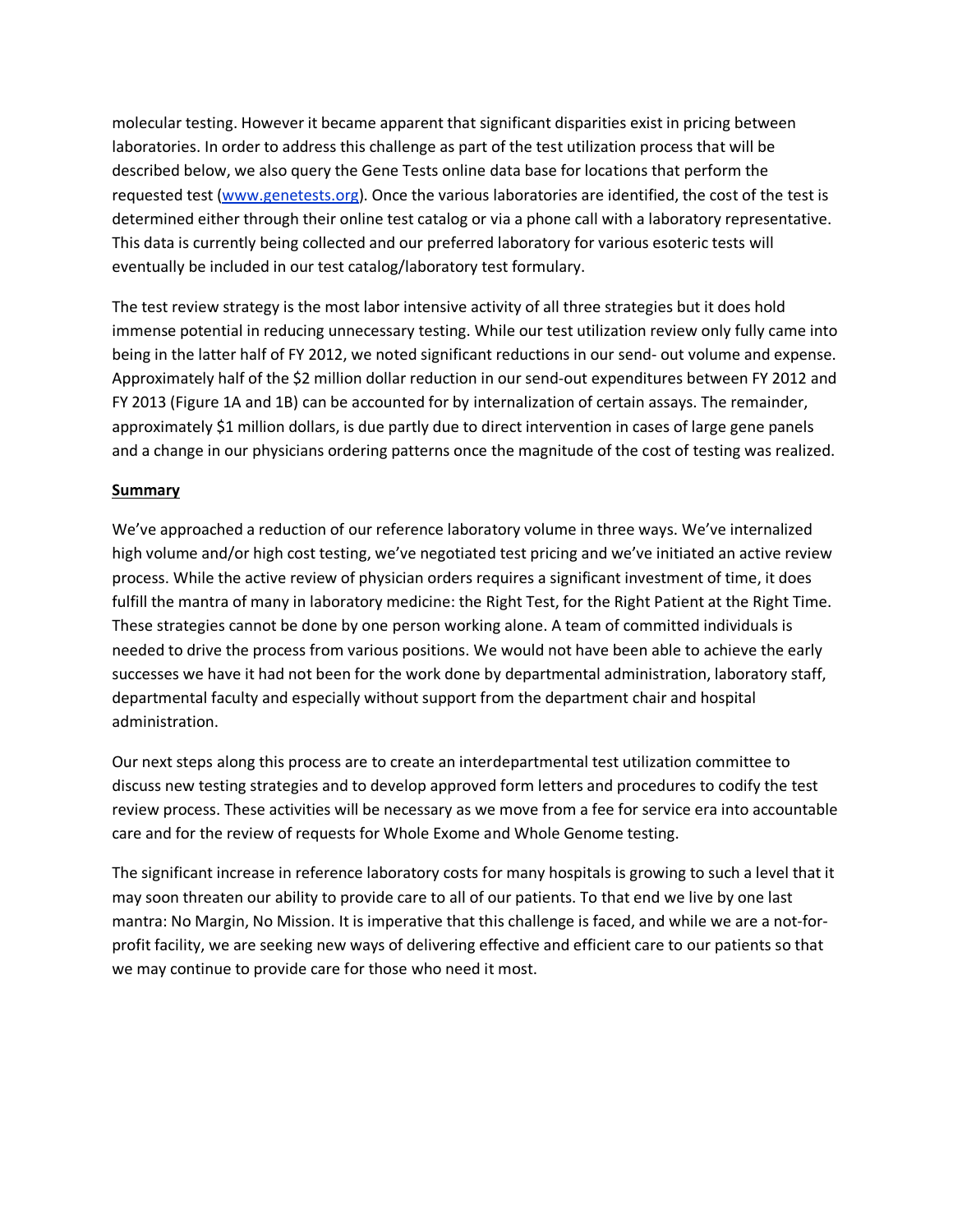molecular testing. However it became apparent that significant disparities exist in pricing between laboratories. In order to address this challenge as part of the test utilization process that will be described below, we also query the Gene Tests online data base for locations that perform the requested test [\(www.genetests.org\)](http://www.genetests.org/). Once the various laboratories are identified, the cost of the test is determined either through their online test catalog or via a phone call with a laboratory representative. This data is currently being collected and our preferred laboratory for various esoteric tests will eventually be included in our test catalog/laboratory test formulary.

The test review strategy is the most labor intensive activity of all three strategies but it does hold immense potential in reducing unnecessary testing. While our test utilization review only fully came into being in the latter half of FY 2012, we noted significant reductions in our send- out volume and expense. Approximately half of the \$2 million dollar reduction in our send-out expenditures between FY 2012 and FY 2013 (Figure 1A and 1B) can be accounted for by internalization of certain assays. The remainder, approximately \$1 million dollars, is due partly due to direct intervention in cases of large gene panels and a change in our physicians ordering patterns once the magnitude of the cost of testing was realized.

### **Summary**

We've approached a reduction of our reference laboratory volume in three ways. We've internalized high volume and/or high cost testing, we've negotiated test pricing and we've initiated an active review process. While the active review of physician orders requires a significant investment of time, it does fulfill the mantra of many in laboratory medicine: the Right Test, for the Right Patient at the Right Time. These strategies cannot be done by one person working alone. A team of committed individuals is needed to drive the process from various positions. We would not have been able to achieve the early successes we have it had not been for the work done by departmental administration, laboratory staff, departmental faculty and especially without support from the department chair and hospital administration.

Our next steps along this process are to create an interdepartmental test utilization committee to discuss new testing strategies and to develop approved form letters and procedures to codify the test review process. These activities will be necessary as we move from a fee for service era into accountable care and for the review of requests for Whole Exome and Whole Genome testing.

The significant increase in reference laboratory costs for many hospitals is growing to such a level that it may soon threaten our ability to provide care to all of our patients. To that end we live by one last mantra: No Margin, No Mission. It is imperative that this challenge is faced, and while we are a not-forprofit facility, we are seeking new ways of delivering effective and efficient care to our patients so that we may continue to provide care for those who need it most.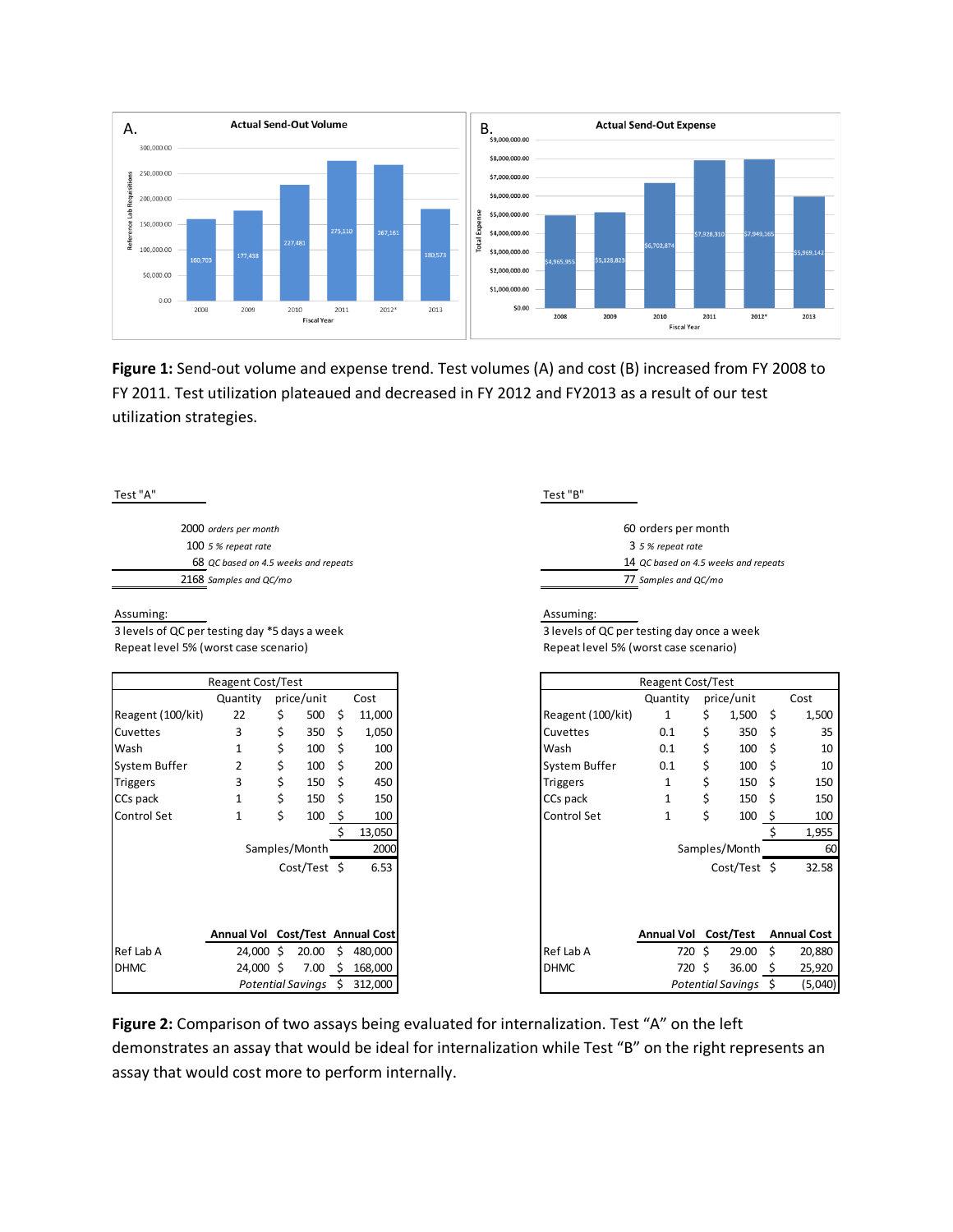

**Figure 1:** Send-out volume and expense trend. Test volumes (A) and cost (B) increased from FY 2008 to FY 2011. Test utilization plateaued and decreased in FY 2012 and FY2013 as a result of our test utilization strategies.

| Test "A"                                      | Test "B"                                   |
|-----------------------------------------------|--------------------------------------------|
| 2000 orders per month                         | 60 orders per month                        |
| $1005%$ repeat rate                           | 3 5 % repeat rate                          |
| 68 QC based on 4.5 weeks and repeats          | 14 QC based on 4.5 weeks and repeats       |
| 2168 Samples and QC/mo                        | 77 Samples and QC/mo                       |
| Assuming:                                     | Assuming:                                  |
| 3 levels of QC per testing day *5 days a week | 3 levels of QC per testing day once a week |
| Repeat level 5% (worst case scenario)         | Repeat level 5% (worst case scenario)      |

|                    | <b>Reagent Cost/Test</b>         |                      |    |         |
|--------------------|----------------------------------|----------------------|----|---------|
|                    | Quantity price/unit              |                      |    | Cost    |
| Reagent (100/kit)  | 22                               | \$<br>500            | \$ | 11,000  |
| Cuvettes           | 3                                | \$<br>350            | \$ | 1,050   |
| Wash               | $\mathbf{1}$                     | \$<br>100            | \$ | 100     |
| System Buffer      | 2                                | \$<br>100            | \$ | 200     |
| <b>Triggers</b>    | 3                                | \$<br>150            | \$ | 450     |
| CCs pack           | $\mathbf{1}$                     | \$<br>150            | \$ | 150     |
| <b>Control Set</b> | $\mathbf{1}$                     | \$<br>100            | \$ | 100     |
|                    |                                  |                      | Ś. | 13,050  |
|                    |                                  | Samples/Month        |    | 2000    |
|                    |                                  | Cost/Test \$         |    | 6.53    |
|                    |                                  |                      |    |         |
|                    |                                  |                      |    |         |
|                    |                                  |                      |    |         |
|                    | Annual Vol Cost/Test Annual Cost |                      |    |         |
| Ref Lab A          |                                  | 24,000 \$ 20.00      | \$ | 480,000 |
| <b>DHMC</b>        | 24,000 \$                        | 7.00                 | \$ | 168,000 |
|                    |                                  | Potential Savings \$ |    | 312,000 |

|                   | <b>Reagent Cost/Test</b>         |    |                          |     |         |                   | <b>Reagent Cost/Test</b> |        |                      |                    |                    |
|-------------------|----------------------------------|----|--------------------------|-----|---------|-------------------|--------------------------|--------|----------------------|--------------------|--------------------|
|                   | Quantity                         |    | price/unit               |     | Cost    |                   | Quantity                 |        | price/unit           |                    | Cost               |
| Reagent (100/kit) | 22                               | S  | 500                      | \$  | 11,000  | Reagent (100/kit) |                          | \$     | 1,500                | $\ddot{\varsigma}$ | 1,500              |
| Cuvettes          | 3                                | \$ | 350                      | Ś   | 1,050   | Cuvettes          | 0.1                      | \$     | 350                  | -S                 | 35                 |
| Wash              | 1                                | \$ | 100                      | \$  | 100     | Wash              | 0.1                      | Ś      | 100                  | -S                 | 10                 |
| System Buffer     | 2                                | \$ | 100                      | S   | 200     | System Buffer     | 0.1                      | \$     | 100                  | \$                 | 10                 |
| <b>Triggers</b>   | 3                                | \$ | 150                      | \$  | 450     | <b>Triggers</b>   |                          | \$     | 150                  | - \$               | 150                |
| CCs pack          | 1                                | \$ | 150                      | Ŝ   | 150     | CCs pack          |                          | \$     | 150                  |                    | 150                |
| Control Set       | 1                                | \$ | 100                      | S   | 100     | Control Set       | 1                        | \$     | 100                  |                    | 100                |
|                   |                                  |    |                          |     | 13,050  |                   |                          |        |                      |                    | 1,955              |
|                   |                                  |    | Samples/Month            |     | 2000    |                   |                          |        | Samples/Month        |                    | 60                 |
|                   |                                  |    | Cost/Test \$             |     | 6.53    |                   |                          |        | $Cost/Test$ \$       |                    | 32.58              |
|                   |                                  |    |                          |     |         |                   |                          |        |                      |                    |                    |
|                   |                                  |    |                          |     |         |                   |                          |        |                      |                    |                    |
|                   |                                  |    |                          |     |         |                   |                          |        |                      |                    |                    |
|                   | Annual Vol Cost/Test Annual Cost |    |                          |     |         |                   | Annual Vol Cost/Test     |        |                      |                    | <b>Annual Cost</b> |
| Ref Lab A         | $24,000 \;$ \$                   |    | 20.00                    | Ś.  | 480,000 | Ref Lab A         |                          | 720 \$ | 29.00                | Ŝ.                 | 20,880             |
| DHMC              | 24,000 \$                        |    | 7.00                     | \$. | 168,000 | <b>DHMC</b>       |                          | 720 \$ | 36.00                | - \$               | 25,920             |
|                   |                                  |    | <b>Potential Savings</b> | S.  | 312,000 |                   |                          |        | Potential Savings \$ |                    | (5,040)            |

**Figure 2:** Comparison of two assays being evaluated for internalization. Test "A" on the left demonstrates an assay that would be ideal for internalization while Test "B" on the right represents an assay that would cost more to perform internally.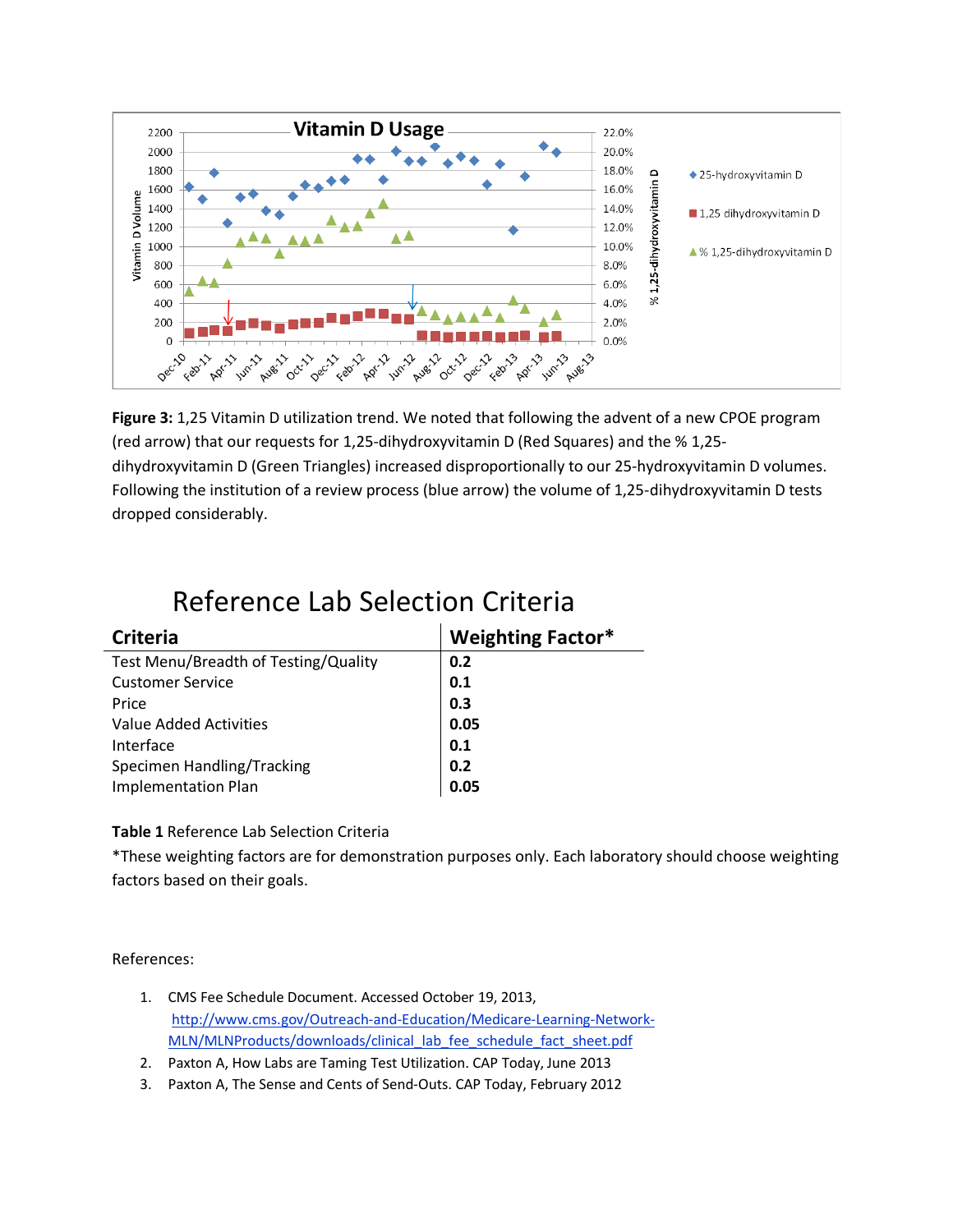

**Figure 3:** 1,25 Vitamin D utilization trend. We noted that following the advent of a new CPOE program (red arrow) that our requests for 1,25-dihydroxyvitamin D (Red Squares) and the % 1,25 dihydroxyvitamin D (Green Triangles) increased disproportionally to our 25-hydroxyvitamin D volumes. Following the institution of a review process (blue arrow) the volume of 1,25-dihydroxyvitamin D tests dropped considerably.

| <b>Criteria</b>                      | <b>Weighting Factor*</b> |
|--------------------------------------|--------------------------|
| Test Menu/Breadth of Testing/Quality | 0.2                      |
| <b>Customer Service</b>              | 0.1                      |
| Price                                | 0.3                      |
| Value Added Activities               | 0.05                     |
| Interface                            | 0.1                      |
| Specimen Handling/Tracking           | 0.2                      |
| <b>Implementation Plan</b>           | 0.05                     |

# Reference Lab Selection Criteria

## **Table 1** Reference Lab Selection Criteria

\*These weighting factors are for demonstration purposes only. Each laboratory should choose weighting factors based on their goals.

References:

- 1. CMS Fee Schedule Document. Accessed October 19, 2013, [http://www.cms.gov/Outreach-and-Education/Medicare-Learning-Network-](http://www.cms.gov/Outreach-and-Education/Medicare-Learning-Network-MLN/MLNProducts/downloads/clinical_lab_fee_schedule_fact_sheet.pdf)[MLN/MLNProducts/downloads/clinical\\_lab\\_fee\\_schedule\\_fact\\_sheet.pdf](http://www.cms.gov/Outreach-and-Education/Medicare-Learning-Network-MLN/MLNProducts/downloads/clinical_lab_fee_schedule_fact_sheet.pdf)
- 2. Paxton A, How Labs are Taming Test Utilization. CAP Today, June 2013
- 3. Paxton A, The Sense and Cents of Send-Outs. CAP Today, February 2012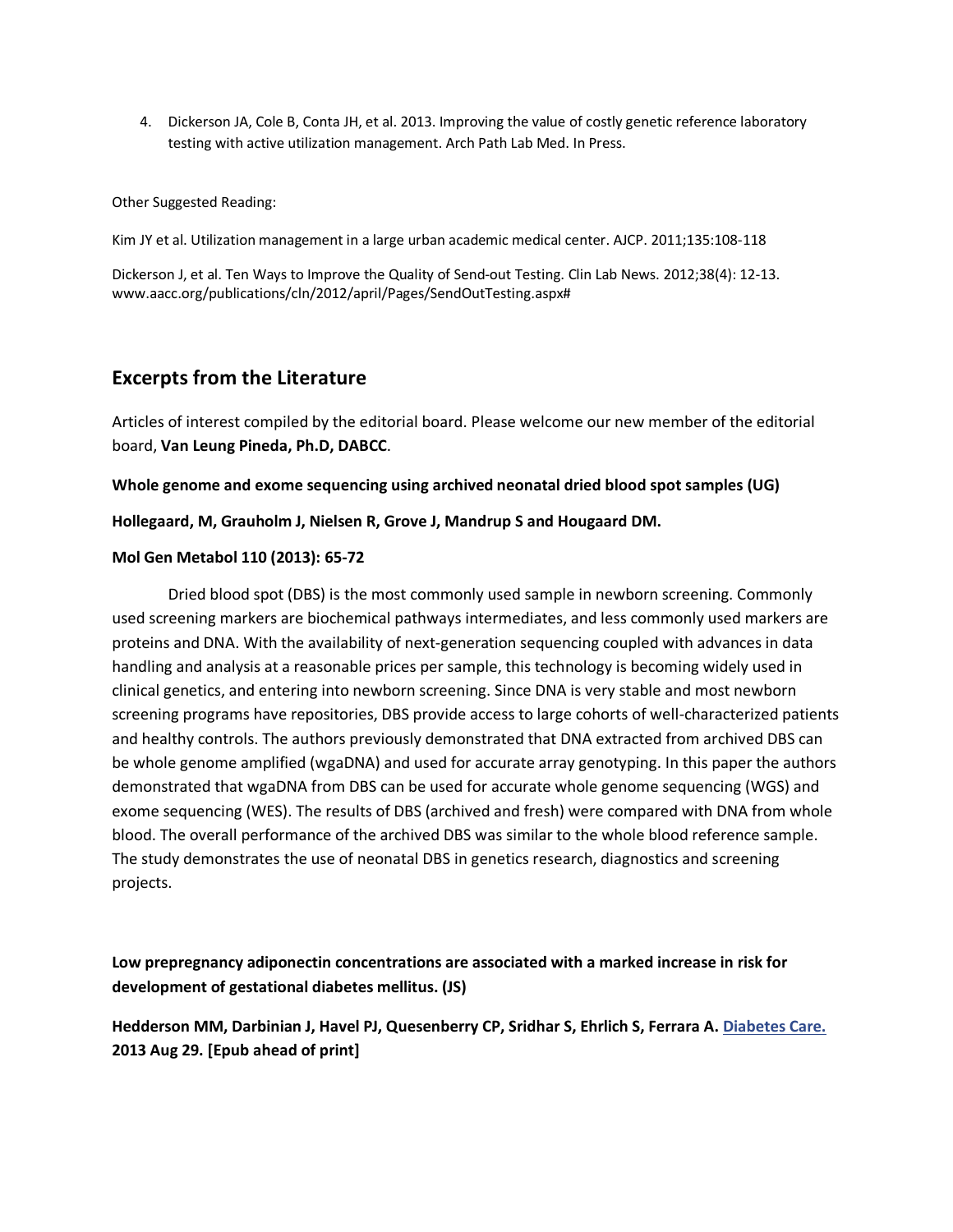4. Dickerson JA, Cole B, Conta JH, et al. 2013. Improving the value of costly genetic reference laboratory testing with active utilization management. Arch Path Lab Med. In Press.

Other Suggested Reading:

Kim JY et al. Utilization management in a large urban academic medical center. AJCP. 2011;135:108-118

Dickerson J, et al. Ten Ways to Improve the Quality of Send-out Testing. Clin Lab News. 2012;38(4): 12-13. www.aacc.org/publications/cln/2012/april/Pages/SendOutTesting.aspx#

## **Excerpts from the Literature**

Articles of interest compiled by the editorial board. Please welcome our new member of the editorial board, **Van Leung Pineda, Ph.D, DABCC**.

**Whole genome and exome sequencing using archived neonatal dried blood spot samples (UG)**

#### **Hollegaard, M, Grauholm J, Nielsen R, Grove J, Mandrup S and Hougaard DM.**

#### **Mol Gen Metabol 110 (2013): 65-72**

Dried blood spot (DBS) is the most commonly used sample in newborn screening. Commonly used screening markers are biochemical pathways intermediates, and less commonly used markers are proteins and DNA. With the availability of next-generation sequencing coupled with advances in data handling and analysis at a reasonable prices per sample, this technology is becoming widely used in clinical genetics, and entering into newborn screening. Since DNA is very stable and most newborn screening programs have repositories, DBS provide access to large cohorts of well-characterized patients and healthy controls. The authors previously demonstrated that DNA extracted from archived DBS can be whole genome amplified (wgaDNA) and used for accurate array genotyping. In this paper the authors demonstrated that wgaDNA from DBS can be used for accurate whole genome sequencing (WGS) and exome sequencing (WES). The results of DBS (archived and fresh) were compared with DNA from whole blood. The overall performance of the archived DBS was similar to the whole blood reference sample. The study demonstrates the use of neonatal DBS in genetics research, diagnostics and screening projects.

## **Low prepregnancy adiponectin concentrations are associated with a marked increase in risk for development of gestational diabetes mellitus. (JS)**

**Hedderson MM, Darbinian J, Havel PJ, Quesenberry CP, Sridhar S, Ehrlich S, Ferrara A. [Diabetes Care.](http://www.ncbi.nlm.nih.gov/pubmed/23990523) 2013 Aug 29. [Epub ahead of print]**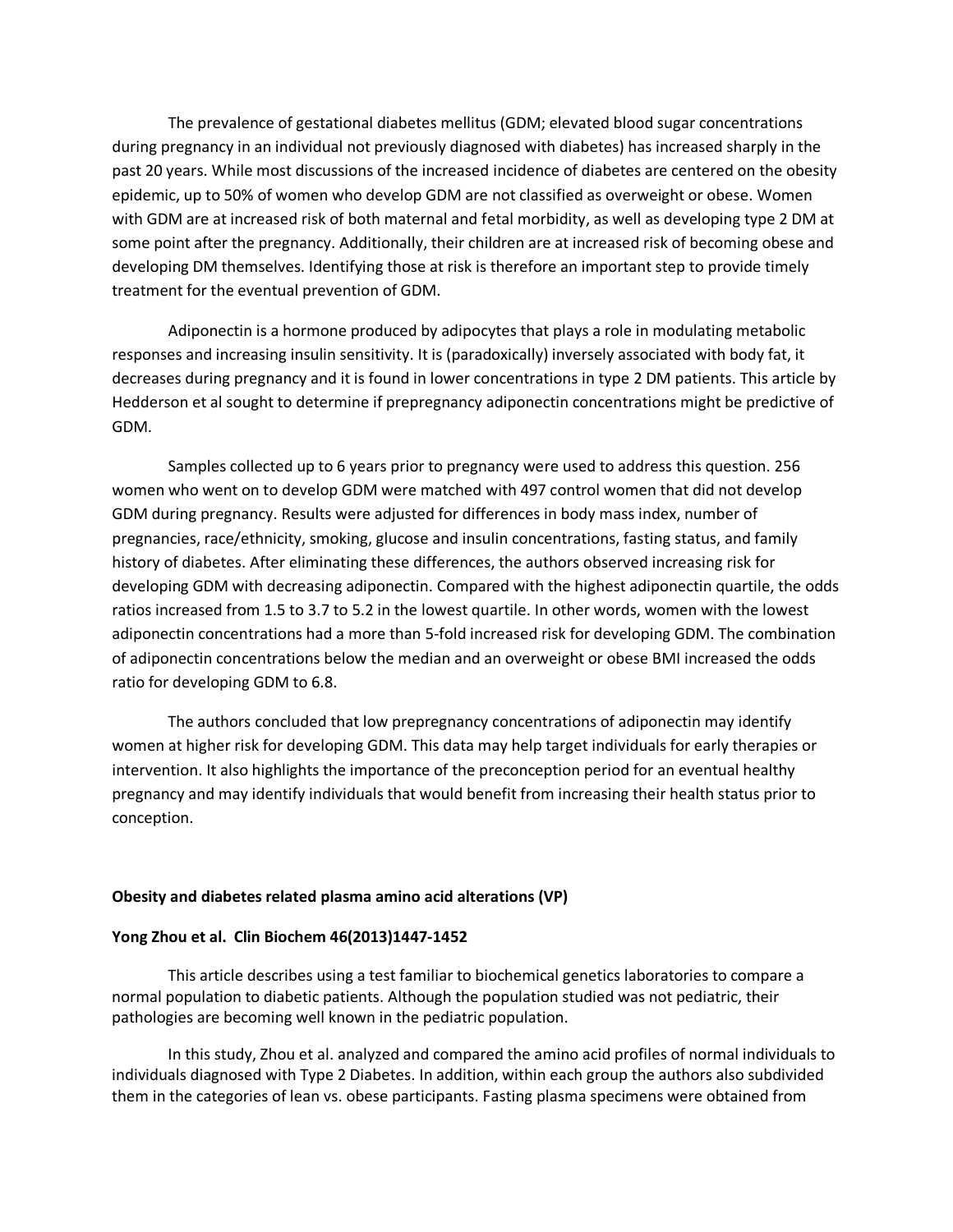The prevalence of gestational diabetes mellitus (GDM; elevated blood sugar concentrations during pregnancy in an individual not previously diagnosed with diabetes) has increased sharply in the past 20 years. While most discussions of the increased incidence of diabetes are centered on the obesity epidemic, up to 50% of women who develop GDM are not classified as overweight or obese. Women with GDM are at increased risk of both maternal and fetal morbidity, as well as developing type 2 DM at some point after the pregnancy. Additionally, their children are at increased risk of becoming obese and developing DM themselves. Identifying those at risk is therefore an important step to provide timely treatment for the eventual prevention of GDM.

Adiponectin is a hormone produced by adipocytes that plays a role in modulating metabolic responses and increasing insulin sensitivity. It is (paradoxically) inversely associated with body fat, it decreases during pregnancy and it is found in lower concentrations in type 2 DM patients. This article by Hedderson et al sought to determine if prepregnancy adiponectin concentrations might be predictive of GDM.

Samples collected up to 6 years prior to pregnancy were used to address this question. 256 women who went on to develop GDM were matched with 497 control women that did not develop GDM during pregnancy. Results were adjusted for differences in body mass index, number of pregnancies, race/ethnicity, smoking, glucose and insulin concentrations, fasting status, and family history of diabetes. After eliminating these differences, the authors observed increasing risk for developing GDM with decreasing adiponectin. Compared with the highest adiponectin quartile, the odds ratios increased from 1.5 to 3.7 to 5.2 in the lowest quartile. In other words, women with the lowest adiponectin concentrations had a more than 5-fold increased risk for developing GDM. The combination of adiponectin concentrations below the median and an overweight or obese BMI increased the odds ratio for developing GDM to 6.8.

The authors concluded that low prepregnancy concentrations of adiponectin may identify women at higher risk for developing GDM. This data may help target individuals for early therapies or intervention. It also highlights the importance of the preconception period for an eventual healthy pregnancy and may identify individuals that would benefit from increasing their health status prior to conception.

#### **Obesity and diabetes related plasma amino acid alterations (VP)**

#### **Yong Zhou et al. Clin Biochem 46(2013)1447-1452**

This article describes using a test familiar to biochemical genetics laboratories to compare a normal population to diabetic patients. Although the population studied was not pediatric, their pathologies are becoming well known in the pediatric population.

In this study, Zhou et al. analyzed and compared the amino acid profiles of normal individuals to individuals diagnosed with Type 2 Diabetes. In addition, within each group the authors also subdivided them in the categories of lean vs. obese participants. Fasting plasma specimens were obtained from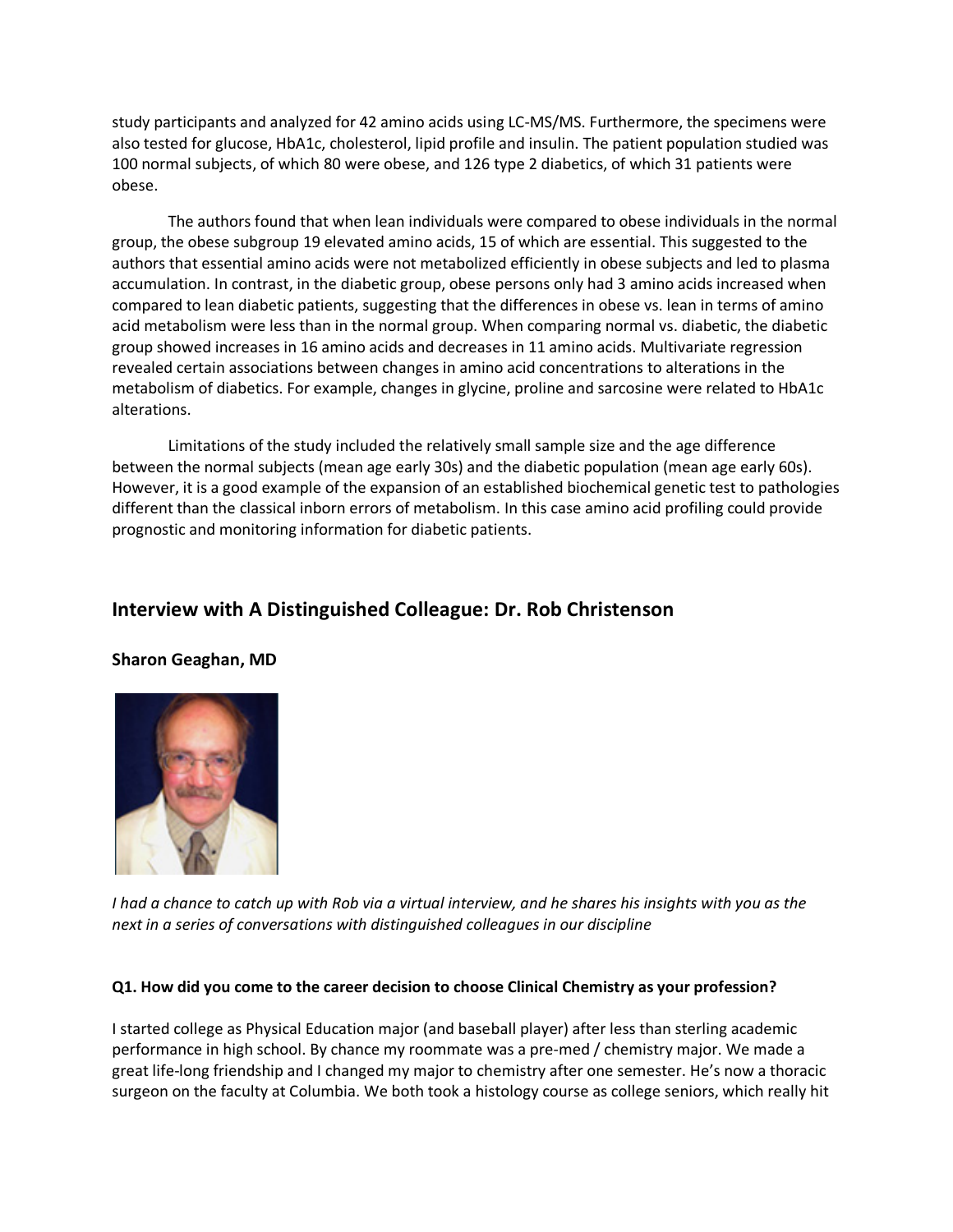study participants and analyzed for 42 amino acids using LC-MS/MS. Furthermore, the specimens were also tested for glucose, HbA1c, cholesterol, lipid profile and insulin. The patient population studied was 100 normal subjects, of which 80 were obese, and 126 type 2 diabetics, of which 31 patients were obese.

The authors found that when lean individuals were compared to obese individuals in the normal group, the obese subgroup 19 elevated amino acids, 15 of which are essential. This suggested to the authors that essential amino acids were not metabolized efficiently in obese subjects and led to plasma accumulation. In contrast, in the diabetic group, obese persons only had 3 amino acids increased when compared to lean diabetic patients, suggesting that the differences in obese vs. lean in terms of amino acid metabolism were less than in the normal group. When comparing normal vs. diabetic, the diabetic group showed increases in 16 amino acids and decreases in 11 amino acids. Multivariate regression revealed certain associations between changes in amino acid concentrations to alterations in the metabolism of diabetics. For example, changes in glycine, proline and sarcosine were related to HbA1c alterations.

Limitations of the study included the relatively small sample size and the age difference between the normal subjects (mean age early 30s) and the diabetic population (mean age early 60s). However, it is a good example of the expansion of an established biochemical genetic test to pathologies different than the classical inborn errors of metabolism. In this case amino acid profiling could provide prognostic and monitoring information for diabetic patients.

## **Interview with A Distinguished Colleague: Dr. Rob Christenson**

## **Sharon Geaghan, MD**



*I had a chance to catch up with Rob via a virtual interview, and he shares his insights with you as the next in a series of conversations with distinguished colleagues in our discipline*

### **Q1. How did you come to the career decision to choose Clinical Chemistry as your profession?**

I started college as Physical Education major (and baseball player) after less than sterling academic performance in high school. By chance my roommate was a pre-med / chemistry major. We made a great life-long friendship and I changed my major to chemistry after one semester. He's now a thoracic surgeon on the faculty at Columbia. We both took a histology course as college seniors, which really hit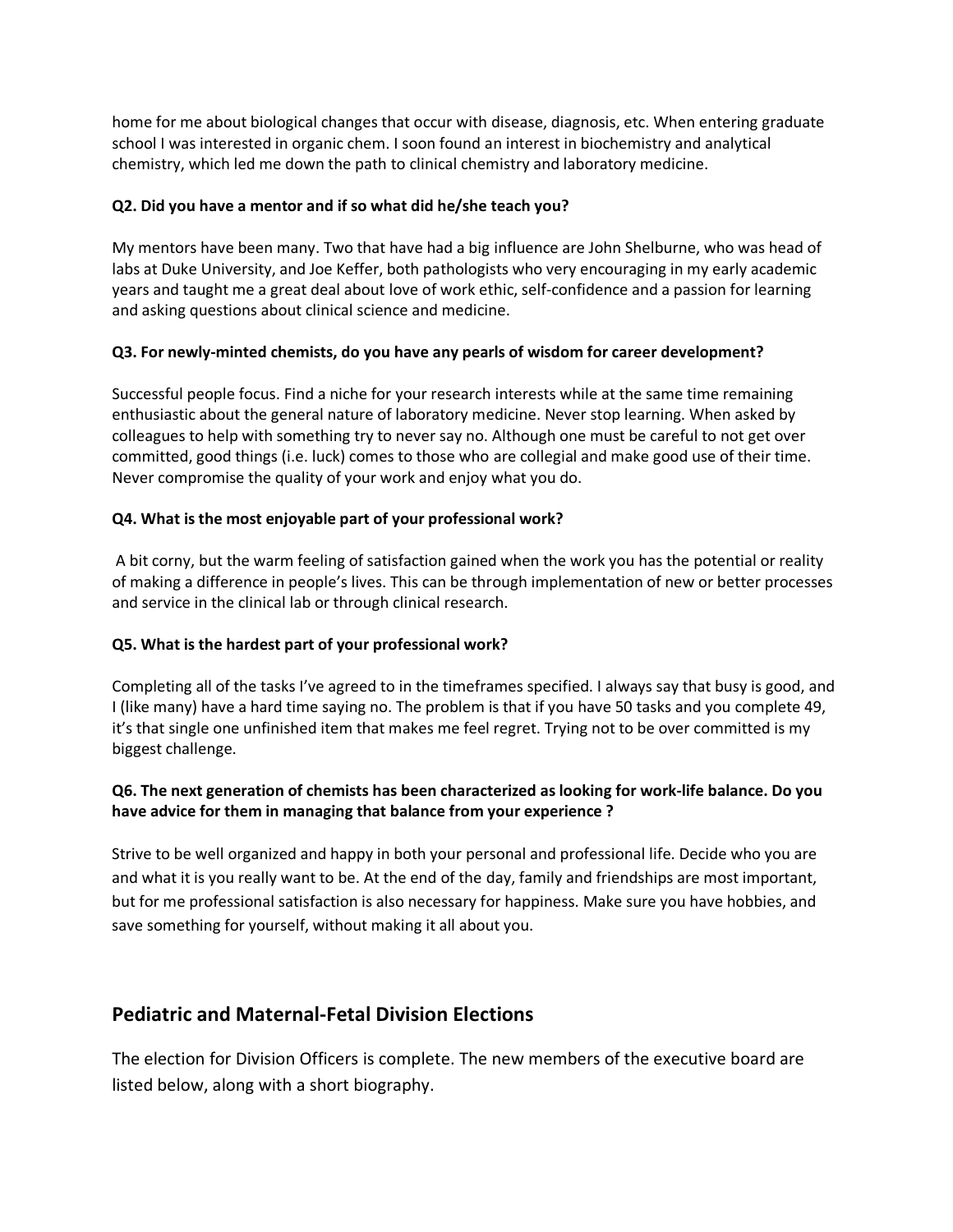home for me about biological changes that occur with disease, diagnosis, etc. When entering graduate school I was interested in organic chem. I soon found an interest in biochemistry and analytical chemistry, which led me down the path to clinical chemistry and laboratory medicine.

## **Q2. Did you have a mentor and if so what did he/she teach you?**

My mentors have been many. Two that have had a big influence are John Shelburne, who was head of labs at Duke University, and Joe Keffer, both pathologists who very encouraging in my early academic years and taught me a great deal about love of work ethic, self-confidence and a passion for learning and asking questions about clinical science and medicine.

## **Q3. For newly-minted chemists, do you have any pearls of wisdom for career development?**

Successful people focus. Find a niche for your research interests while at the same time remaining enthusiastic about the general nature of laboratory medicine. Never stop learning. When asked by colleagues to help with something try to never say no. Although one must be careful to not get over committed, good things (i.e. luck) comes to those who are collegial and make good use of their time. Never compromise the quality of your work and enjoy what you do.

## **Q4. What is the most enjoyable part of your professional work?**

A bit corny, but the warm feeling of satisfaction gained when the work you has the potential or reality of making a difference in people's lives. This can be through implementation of new or better processes and service in the clinical lab or through clinical research.

## **Q5. What is the hardest part of your professional work?**

Completing all of the tasks I've agreed to in the timeframes specified. I always say that busy is good, and I (like many) have a hard time saying no. The problem is that if you have 50 tasks and you complete 49, it's that single one unfinished item that makes me feel regret. Trying not to be over committed is my biggest challenge.

## **Q6. The next generation of chemists has been characterized as looking for work-life balance. Do you have advice for them in managing that balance from your experience ?**

Strive to be well organized and happy in both your personal and professional life. Decide who you are and what it is you really want to be. At the end of the day, family and friendships are most important, but for me professional satisfaction is also necessary for happiness. Make sure you have hobbies, and save something for yourself, without making it all about you.

## **Pediatric and Maternal-Fetal Division Elections**

The election for Division Officers is complete. The new members of the executive board are listed below, along with a short biography.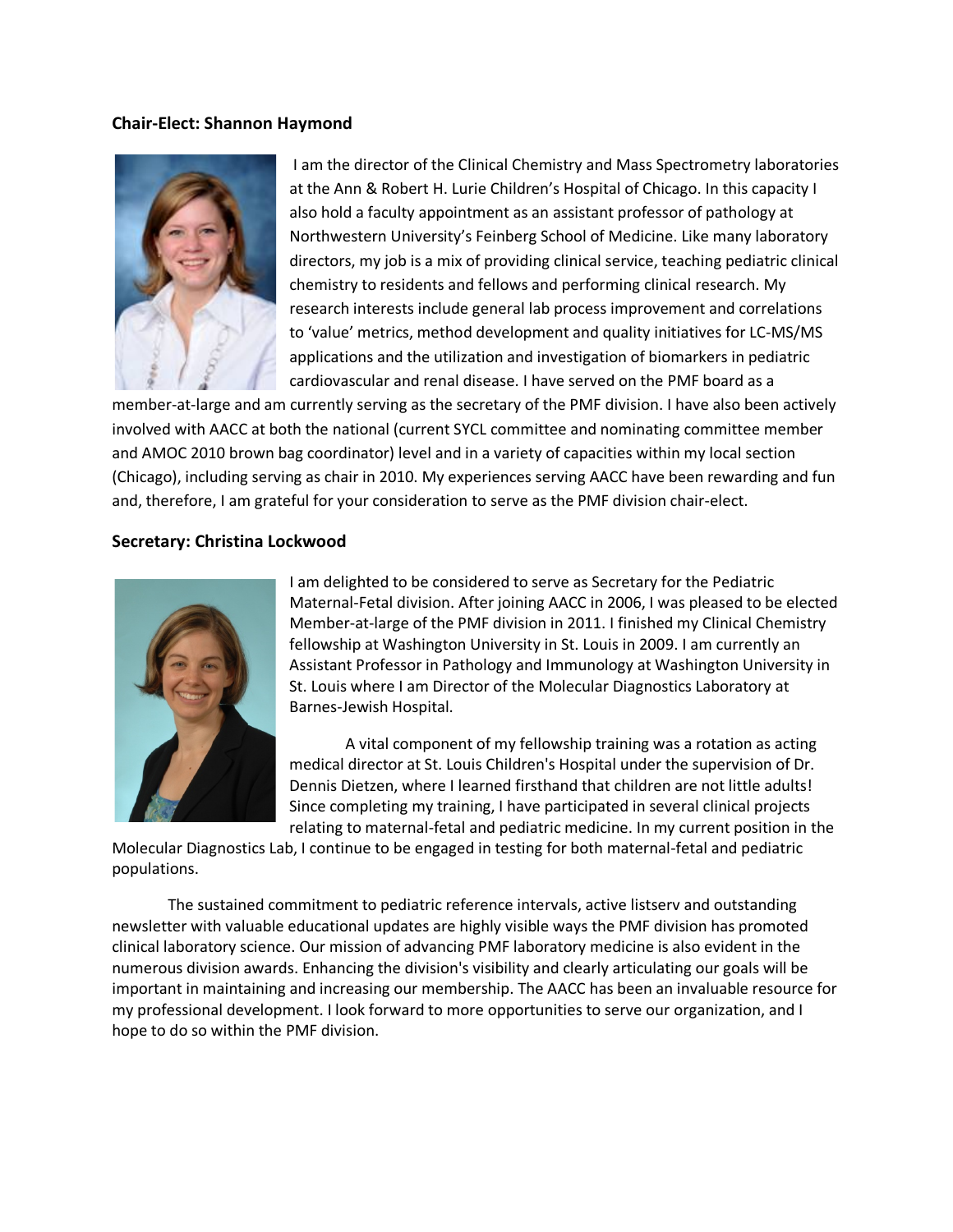#### **Chair-Elect: Shannon Haymond**



I am the director of the Clinical Chemistry and Mass Spectrometry laboratories at the Ann & Robert H. Lurie Children's Hospital of Chicago. In this capacity I also hold a faculty appointment as an assistant professor of pathology at Northwestern University's Feinberg School of Medicine. Like many laboratory directors, my job is a mix of providing clinical service, teaching pediatric clinical chemistry to residents and fellows and performing clinical research. My research interests include general lab process improvement and correlations to 'value' metrics, method development and quality initiatives for LC-MS/MS applications and the utilization and investigation of biomarkers in pediatric cardiovascular and renal disease. I have served on the PMF board as a

member-at-large and am currently serving as the secretary of the PMF division. I have also been actively involved with AACC at both the national (current SYCL committee and nominating committee member and AMOC 2010 brown bag coordinator) level and in a variety of capacities within my local section (Chicago), including serving as chair in 2010. My experiences serving AACC have been rewarding and fun and, therefore, I am grateful for your consideration to serve as the PMF division chair-elect.

#### **Secretary: Christina Lockwood**



I am delighted to be considered to serve as Secretary for the Pediatric Maternal-Fetal division. After joining AACC in 2006, I was pleased to be elected Member-at-large of the PMF division in 2011. I finished my Clinical Chemistry fellowship at Washington University in St. Louis in 2009. I am currently an Assistant Professor in Pathology and Immunology at Washington University in St. Louis where I am Director of the Molecular Diagnostics Laboratory at Barnes-Jewish Hospital.

A vital component of my fellowship training was a rotation as acting medical director at St. Louis Children's Hospital under the supervision of Dr. Dennis Dietzen, where I learned firsthand that children are not little adults! Since completing my training, I have participated in several clinical projects relating to maternal-fetal and pediatric medicine. In my current position in the

Molecular Diagnostics Lab, I continue to be engaged in testing for both maternal-fetal and pediatric populations.

The sustained commitment to pediatric reference intervals, active listserv and outstanding newsletter with valuable educational updates are highly visible ways the PMF division has promoted clinical laboratory science. Our mission of advancing PMF laboratory medicine is also evident in the numerous division awards. Enhancing the division's visibility and clearly articulating our goals will be important in maintaining and increasing our membership. The AACC has been an invaluable resource for my professional development. I look forward to more opportunities to serve our organization, and I hope to do so within the PMF division.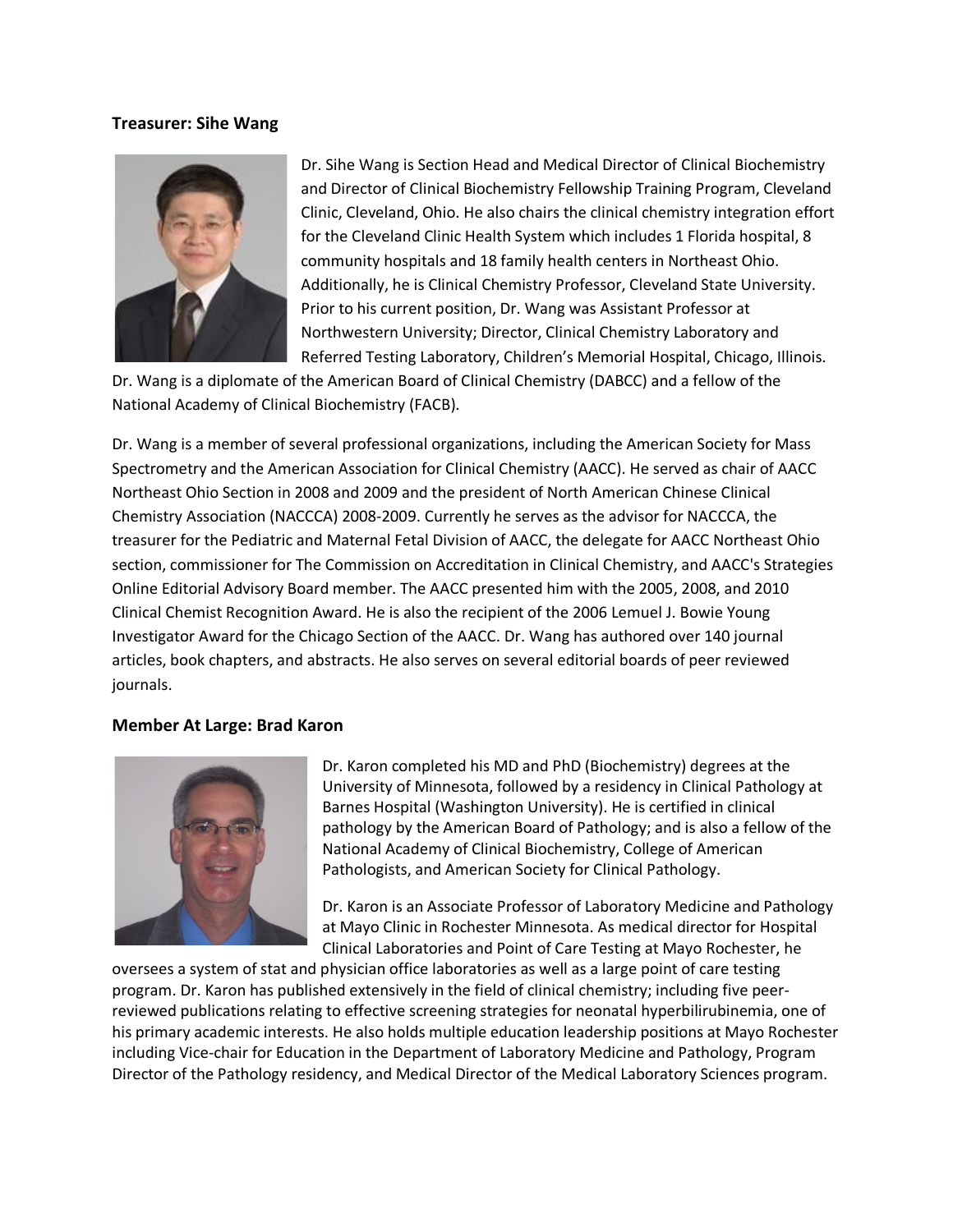### **Treasurer: Sihe Wang**



Dr. Sihe Wang is Section Head and Medical Director of Clinical Biochemistry and Director of Clinical Biochemistry Fellowship Training Program, Cleveland Clinic, Cleveland, Ohio. He also chairs the clinical chemistry integration effort for the Cleveland Clinic Health System which includes 1 Florida hospital, 8 community hospitals and 18 family health centers in Northeast Ohio. Additionally, he is Clinical Chemistry Professor, Cleveland State University. Prior to his current position, Dr. Wang was Assistant Professor at Northwestern University; Director, Clinical Chemistry Laboratory and Referred Testing Laboratory, Children's Memorial Hospital, Chicago, Illinois.

Dr. Wang is a diplomate of the American Board of Clinical Chemistry (DABCC) and a fellow of the National Academy of Clinical Biochemistry (FACB).

Dr. Wang is a member of several professional organizations, including the American Society for Mass Spectrometry and the American Association for Clinical Chemistry (AACC). He served as chair of AACC Northeast Ohio Section in 2008 and 2009 and the president of North American Chinese Clinical Chemistry Association (NACCCA) 2008-2009. Currently he serves as the advisor for NACCCA, the treasurer for the Pediatric and Maternal Fetal Division of AACC, the delegate for AACC Northeast Ohio section, commissioner for The Commission on Accreditation in Clinical Chemistry, and AACC's Strategies Online Editorial Advisory Board member. The AACC presented him with the 2005, 2008, and 2010 Clinical Chemist Recognition Award. He is also the recipient of the 2006 Lemuel J. Bowie Young Investigator Award for the Chicago Section of the AACC. Dr. Wang has authored over 140 journal articles, book chapters, and abstracts. He also serves on several editorial boards of peer reviewed journals.

### **Member At Large: Brad Karon**



Dr. Karon completed his MD and PhD (Biochemistry) degrees at the University of Minnesota, followed by a residency in Clinical Pathology at Barnes Hospital (Washington University). He is certified in clinical pathology by the American Board of Pathology; and is also a fellow of the National Academy of Clinical Biochemistry, College of American Pathologists, and American Society for Clinical Pathology.

Dr. Karon is an Associate Professor of Laboratory Medicine and Pathology at Mayo Clinic in Rochester Minnesota. As medical director for Hospital Clinical Laboratories and Point of Care Testing at Mayo Rochester, he

oversees a system of stat and physician office laboratories as well as a large point of care testing program. Dr. Karon has published extensively in the field of clinical chemistry; including five peerreviewed publications relating to effective screening strategies for neonatal hyperbilirubinemia, one of his primary academic interests. He also holds multiple education leadership positions at Mayo Rochester including Vice-chair for Education in the Department of Laboratory Medicine and Pathology, Program Director of the Pathology residency, and Medical Director of the Medical Laboratory Sciences program.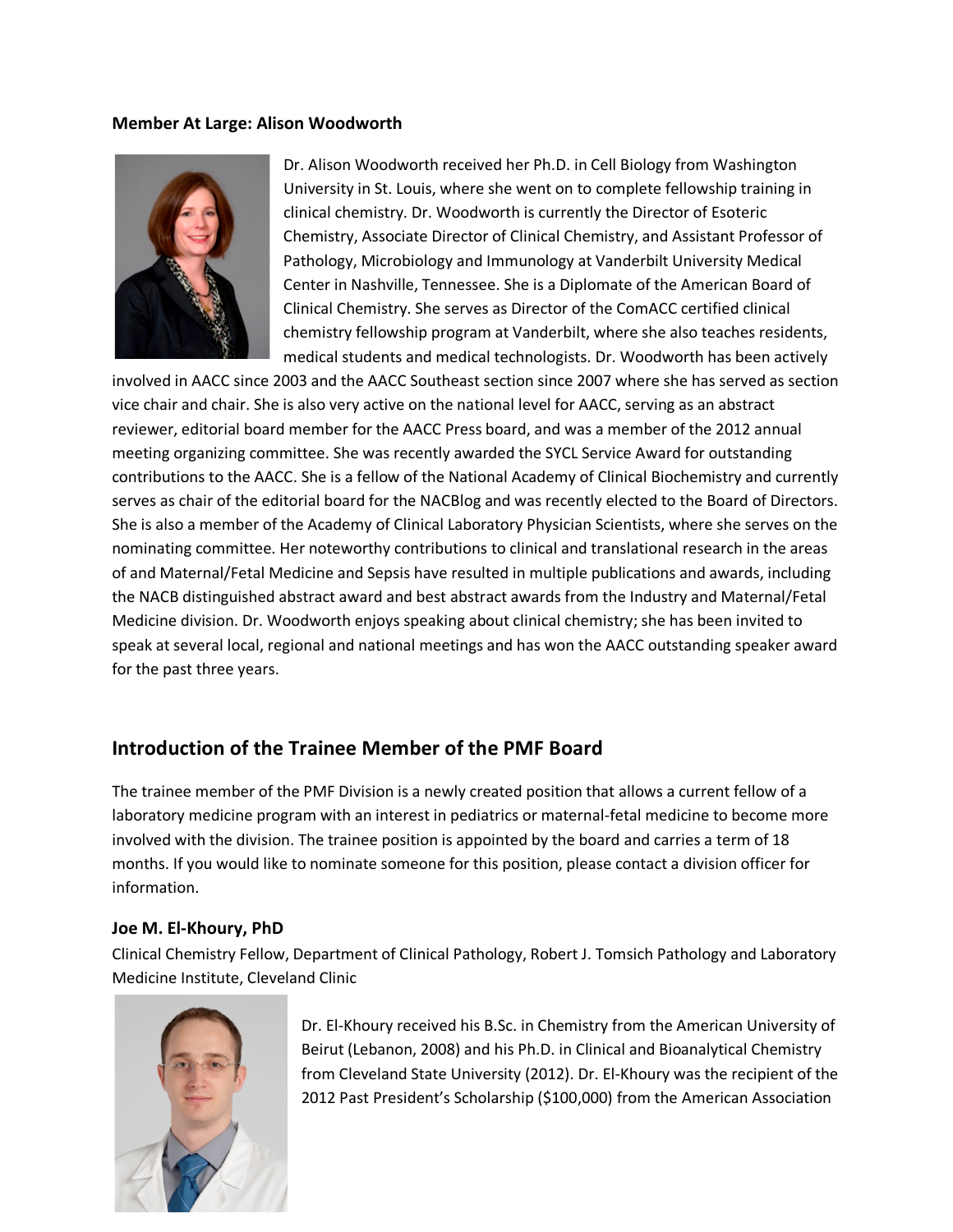#### **Member At Large: Alison Woodworth**



Dr. Alison Woodworth received her Ph.D. in Cell Biology from Washington University in St. Louis, where she went on to complete fellowship training in clinical chemistry. Dr. Woodworth is currently the Director of Esoteric Chemistry, Associate Director of Clinical Chemistry, and Assistant Professor of Pathology, Microbiology and Immunology at Vanderbilt University Medical Center in Nashville, Tennessee. She is a Diplomate of the American Board of Clinical Chemistry. She serves as Director of the ComACC certified clinical chemistry fellowship program at Vanderbilt, where she also teaches residents, medical students and medical technologists. Dr. Woodworth has been actively

involved in AACC since 2003 and the AACC Southeast section since 2007 where she has served as section vice chair and chair. She is also very active on the national level for AACC, serving as an abstract reviewer, editorial board member for the AACC Press board, and was a member of the 2012 annual meeting organizing committee. She was recently awarded the SYCL Service Award for outstanding contributions to the AACC. She is a fellow of the National Academy of Clinical Biochemistry and currently serves as chair of the editorial board for the NACBlog and was recently elected to the Board of Directors. She is also a member of the Academy of Clinical Laboratory Physician Scientists, where she serves on the nominating committee. Her noteworthy contributions to clinical and translational research in the areas of and Maternal/Fetal Medicine and Sepsis have resulted in multiple publications and awards, including the NACB distinguished abstract award and best abstract awards from the Industry and Maternal/Fetal Medicine division. Dr. Woodworth enjoys speaking about clinical chemistry; she has been invited to speak at several local, regional and national meetings and has won the AACC outstanding speaker award for the past three years.

## **Introduction of the Trainee Member of the PMF Board**

The trainee member of the PMF Division is a newly created position that allows a current fellow of a laboratory medicine program with an interest in pediatrics or maternal-fetal medicine to become more involved with the division. The trainee position is appointed by the board and carries a term of 18 months. If you would like to nominate someone for this position, please contact a division officer for information.

### **Joe M. El-Khoury, PhD**

Clinical Chemistry Fellow, Department of Clinical Pathology, Robert J. Tomsich Pathology and Laboratory Medicine Institute, Cleveland Clinic



Dr. El-Khoury received his B.Sc. in Chemistry from the American University of Beirut (Lebanon, 2008) and his Ph.D. in Clinical and Bioanalytical Chemistry from Cleveland State University (2012). Dr. El-Khoury was the recipient of the 2012 Past President's Scholarship (\$100,000) from the American Association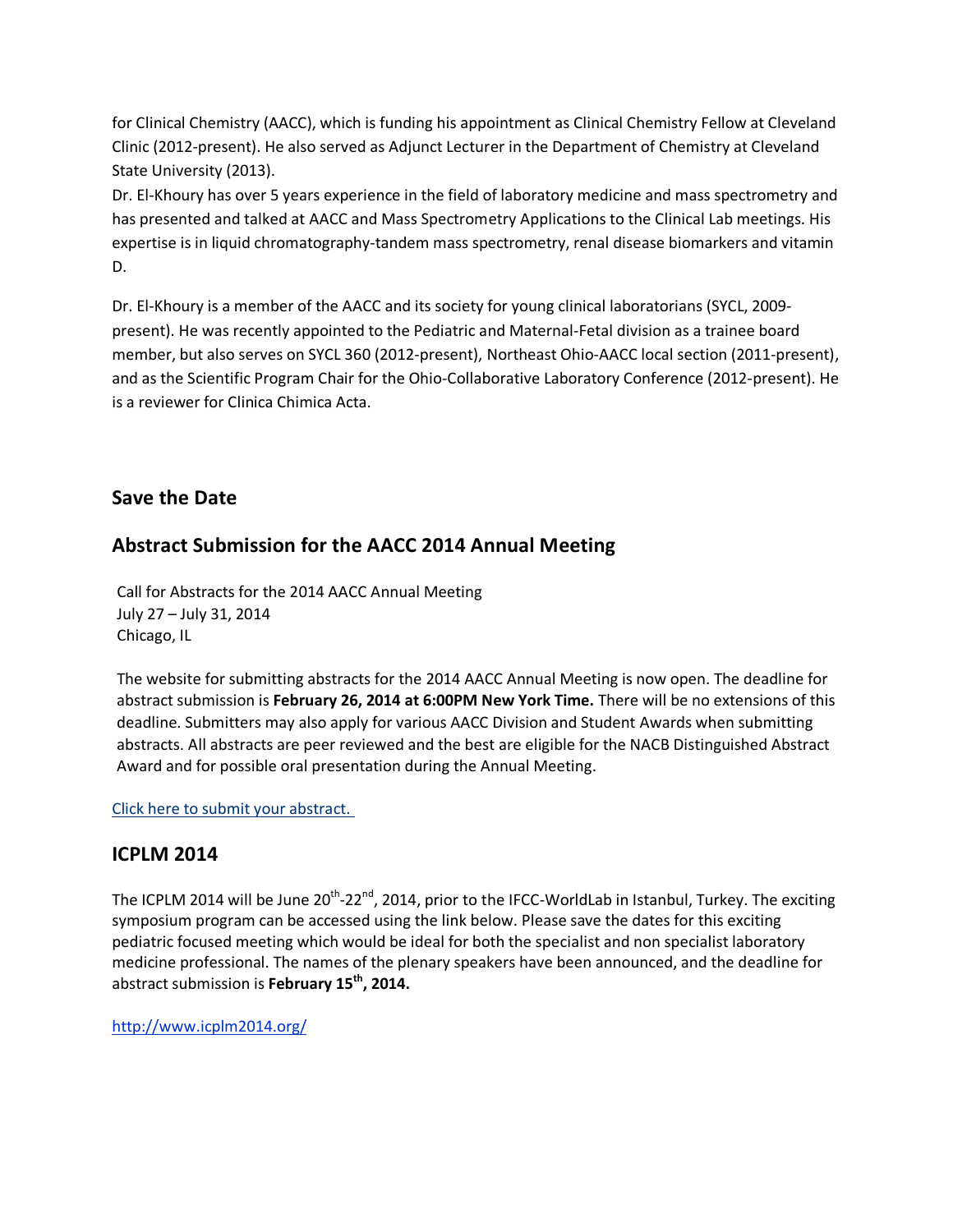for Clinical Chemistry (AACC), which is funding his appointment as Clinical Chemistry Fellow at Cleveland Clinic (2012-present). He also served as Adjunct Lecturer in the Department of Chemistry at Cleveland State University (2013).

Dr. El-Khoury has over 5 years experience in the field of laboratory medicine and mass spectrometry and has presented and talked at AACC and Mass Spectrometry Applications to the Clinical Lab meetings. His expertise is in liquid chromatography-tandem mass spectrometry, renal disease biomarkers and vitamin D.

Dr. El-Khoury is a member of the AACC and its society for young clinical laboratorians (SYCL, 2009 present). He was recently appointed to the Pediatric and Maternal-Fetal division as a trainee board member, but also serves on SYCL 360 (2012-present), Northeast Ohio-AACC local section (2011-present), and as the Scientific Program Chair for the Ohio-Collaborative Laboratory Conference (2012-present). He is a reviewer for Clinica Chimica Acta.

## **Save the Date**

## **Abstract Submission for the AACC 2014 Annual Meeting**

Call for Abstracts for the 2014 AACC Annual Meeting July 27 – July 31, 2014 Chicago, IL

The website for submitting abstracts for the 2014 AACC Annual Meeting is now open. The deadline for abstract submission is **February 26, 2014 at 6:00PM New York Time.** There will be no extensions of this deadline. Submitters may also apply for various AACC Division and Student Awards when submitting abstracts. All abstracts are peer reviewed and the best are eligible for the NACB Distinguished Abstract Award and for possible oral presentation during the Annual Meeting.

## [Click here to submit your abstract.](http://www.abstractsonline.com/submit/login.asp?mkey=%7b20943E7D-1CE2-4798-8EC2-45B7A51325B9%7d)

## **ICPLM 2014**

The ICPLM 2014 will be June 20<sup>th</sup>-22<sup>nd</sup>, 2014, prior to the IFCC-WorldLab in Istanbul, Turkey. The exciting symposium program can be accessed using the link below. Please save the dates for this exciting pediatric focused meeting which would be ideal for both the specialist and non specialist laboratory medicine professional. The names of the plenary speakers have been announced, and the deadline for abstract submission is **February 15th, 2014.**

<http://www.icplm2014.org/>